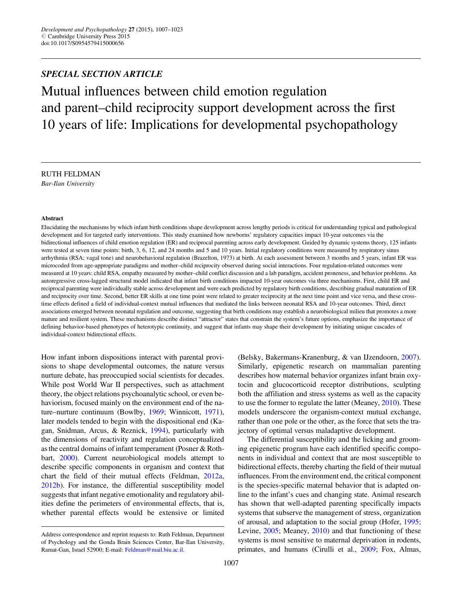# SPECIAL SECTION ARTICLE

Mutual influences between child emotion regulation and parent–child reciprocity support development across the first 10 years of life: Implications for developmental psychopathology

RUTH FELDMAN Bar-Ilan University

#### Abstract

Elucidating the mechanisms by which infant birth conditions shape development across lengthy periods is critical for understanding typical and pathological development and for targeted early interventions. This study examined how newborns' regulatory capacities impact 10-year outcomes via the bidirectional influences of child emotion regulation (ER) and reciprocal parenting across early development. Guided by dynamic systems theory, 125 infants were tested at seven time points: birth, 3, 6, 12, and 24 months and 5 and 10 years. Initial regulatory conditions were measured by respiratory sinus arrhythmia (RSA; vagal tone) and neurobehavioral regulation (Brazelton, 1973) at birth. At each assessment between 3 months and 5 years, infant ER was microcoded from age-appropriate paradigms and mother–child reciprocity observed during social interactions. Four regulation-related outcomes were measured at 10 years: child RSA, empathy measured by mother–child conflict discussion and a lab paradigm, accident proneness, and behavior problems. An autoregressive cross-lagged structural model indicated that infant birth conditions impacted 10-year outcomes via three mechanisms. First, child ER and reciprocal parenting were individually stable across development and were each predicted by regulatory birth conditions, describing gradual maturation of ER and reciprocity over time. Second, better ER skills at one time point were related to greater reciprocity at the next time point and vice versa, and these crosstime effects defined a field of individual-context mutual influences that mediated the links between neonatal RSA and 10-year outcomes. Third, direct associations emerged between neonatal regulation and outcome, suggesting that birth conditions may establish a neurobiological milieu that promotes a more mature and resilient system. These mechanisms describe distinct "attractor" states that constrain the system's future options, emphasize the importance of defining behavior-based phenotypes of heterotypic continuity, and suggest that infants may shape their development by initiating unique cascades of individual-context bidirectional effects.

How infant inborn dispositions interact with parental provisions to shape developmental outcomes, the nature versus nurture debate, has preoccupied social scientists for decades. While post World War II perspectives, such as attachment theory, the object relations psychoanalytic school, or even behaviorism, focused mainly on the environment end of the nature–nurture continuum (Bowlby, [1969;](#page-14-0) Winnicott, [1971](#page-16-0)), later models tended to begin with the dispositional end (Kagan, Snidman, Arcus, & Reznick, [1994](#page-15-0)), particularly with the dimensions of reactivity and regulation conceptualized as the central domains of infant temperament (Posner & Rothbart, [2000](#page-16-0)). Current neurobiological models attempt to describe specific components in organism and context that chart the field of their mutual effects (Feldman, [2012a,](#page-14-0) [2012b](#page-14-0)). For instance, the differential susceptibility model suggests that infant negative emotionality and regulatory abilities define the perimeters of environmental effects, that is, whether parental effects would be extensive or limited

(Belsky, Bakermans-Kranenburg, & van IJzendoorn, [2007](#page-14-0)). Similarly, epigenetic research on mammalian parenting describes how maternal behavior organizes infant brain oxytocin and glucocorticoid receptor distributions, sculpting both the affiliation and stress systems as well as the capacity to use the former to regulate the latter (Meaney, [2010](#page-15-0)). These models underscore the organism-context mutual exchange, rather than one pole or the other, as the force that sets the trajectory of optimal versus maladaptive development.

The differential susceptibility and the licking and grooming epigenetic program have each identified specific components in individual and context that are most susceptible to bidirectional effects, thereby charting the field of their mutual influences. From the environment end, the critical component is the species-specific maternal behavior that is adapted online to the infant's cues and changing state. Animal research has shown that well-adapted parenting specifically impacts systems that subserve the management of stress, organization of arousal, and adaptation to the social group (Hofer, [1995](#page-15-0); Levine, [2005](#page-15-0); Meaney, [2010\)](#page-15-0) and that functioning of these systems is most sensitive to maternal deprivation in rodents, primates, and humans (Cirulli et al., [2009;](#page-14-0) Fox, Almas,

Address correspondence and reprint requests to: Ruth Feldman, Department of Psychology and the Gonda Brain Sciences Center, Bar-Ilan University, Ramat-Gan, Israel 52900; E-mail: [Feldman@mail.biu.ac.il.](mailto:Feldman@mail.biu.ac.il)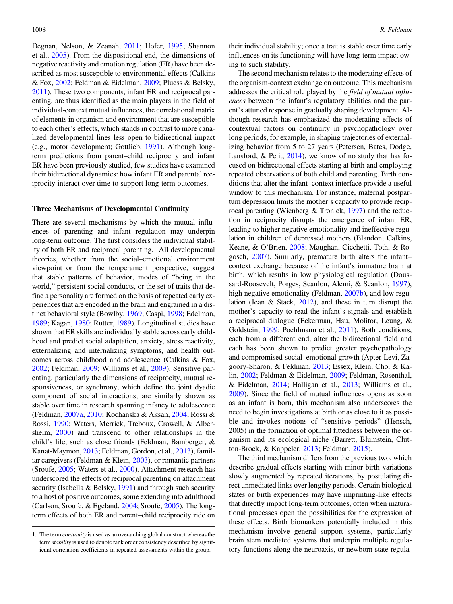Degnan, Nelson, & Zeanah, [2011](#page-15-0); Hofer, [1995;](#page-15-0) Shannon et al., [2005\)](#page-16-0). From the dispositional end, the dimensions of negative reactivity and emotion regulation (ER) have been described as most susceptible to environmental effects (Calkins & Fox, [2002;](#page-14-0) Feldman & Eidelman, [2009;](#page-15-0) Pluess & Belsky, [2011](#page-15-0)). These two components, infant ER and reciprocal parenting, are thus identified as the main players in the field of individual-context mutual influences, the correlational matrix of elements in organism and environment that are susceptible to each other's effects, which stands in contrast to more canalized developmental lines less open to bidirectional impact (e.g., motor development; Gottlieb, [1991\)](#page-15-0). Although longterm predictions from parent–child reciprocity and infant ER have been previously studied, few studies have examined their bidirectional dynamics: how infant ER and parental reciprocity interact over time to support long-term outcomes.

#### Three Mechanisms of Developmental Continuity

There are several mechanisms by which the mutual influences of parenting and infant regulation may underpin long-term outcome. The first considers the individual stability of both ER and reciprocal parenting.<sup>1</sup> All developmental theories, whether from the social–emotional environment viewpoint or from the temperament perspective, suggest that stable patterns of behavior, modes of "being in the world," persistent social conducts, or the set of traits that define a personality are formed on the basis of repeated early experiences that are encoded in the brain and engrained in a distinct behavioral style (Bowlby, [1969](#page-14-0); Caspi, [1998](#page-14-0); Edelman, [1989](#page-14-0); Kagan, [1980;](#page-15-0) Rutter, [1989](#page-16-0)). Longitudinal studies have shown that ER skills are individually stable across early childhood and predict social adaptation, anxiety, stress reactivity, externalizing and internalizing symptoms, and health outcomes across childhood and adolescence (Calkins & Fox, [2002](#page-14-0); Feldman, [2009;](#page-14-0) Williams et al., [2009](#page-16-0)). Sensitive parenting, particularly the dimensions of reciprocity, mutual responsiveness, or synchrony, which define the joint dyadic component of social interactions, are similarly shown as stable over time in research spanning infancy to adolescence (Feldman, [2007a,](#page-14-0) [2010;](#page-14-0) Kochanska & Aksan, [2004](#page-15-0); Rossi & Rossi, [1990](#page-16-0); Waters, Merrick, Treboux, Crowell, & Albersheim, [2000](#page-16-0)) and transcend to other relationships in the child's life, such as close friends (Feldman, Bamberger, & Kanat-Maymon, [2013;](#page-14-0) Feldman, Gordon, et al., [2013](#page-15-0)), familiar caregivers (Feldman & Klein, [2003](#page-15-0)), or romantic partners (Sroufe, [2005;](#page-16-0) Waters et al., [2000\)](#page-16-0). Attachment research has underscored the effects of reciprocal parenting on attachment security (Isabella & Belsky, [1991](#page-15-0)) and through such security to a host of positive outcomes, some extending into adulthood (Carlson, Sroufe, & Egeland, [2004](#page-14-0); Sroufe, [2005](#page-16-0)). The longterm effects of both ER and parent–child reciprocity ride on

their individual stability; once a trait is stable over time early influences on its functioning will have long-term impact owing to such stability.

The second mechanism relates to the moderating effects of the organism-context exchange on outcome. This mechanism addresses the critical role played by the field of mutual influences between the infant's regulatory abilities and the parent's attuned response in gradually shaping development. Although research has emphasized the moderating effects of contextual factors on continuity in psychopathology over long periods, for example, in shaping trajectories of externalizing behavior from 5 to 27 years (Petersen, Bates, Dodge, Lansford, & Petit, [2014](#page-15-0)), we know of no study that has focused on bidirectional effects starting at birth and employing repeated observations of both child and parenting. Birth conditions that alter the infant–context interface provide a useful window to this mechanism. For instance, maternal postpartum depression limits the mother's capacity to provide reciprocal parenting (Wienberg & Tronick, [1997\)](#page-16-0) and the reduction in reciprocity disrupts the emergence of infant ER, leading to higher negative emotionality and ineffective regulation in children of depressed mothers (Blandon, Calkins, Keane, & O'Brien, [2008;](#page-14-0) Maughan, Cicchetti, Toth, & Rogosch, [2007](#page-15-0)). Similarly, premature birth alters the infant– context exchange because of the infant's immature brain at birth, which results in low physiological regulation (Doussard-Roosevelt, Porges, Scanlon, Alemi, & Scanlon, [1997](#page-14-0)), high negative emotionality (Feldman, [2007b\)](#page-14-0), and low regulation (Jean & Stack, [2012\)](#page-15-0), and these in turn disrupt the mother's capacity to read the infant's signals and establish a reciprocal dialogue (Eckerman, Hsu, Molitor, Leung, & Goldstein, [1999](#page-14-0); Poehlmann et al., [2011](#page-15-0)). Both conditions, each from a different end, alter the bidirectional field and each has been shown to predict greater psychopathology and compromised social–emotional growth (Apter-Levi, Zagoory-Sharon, & Feldman, [2013;](#page-14-0) Essex, Klein, Cho, & Kalin, [2002;](#page-14-0) Feldman & Eidelman, [2009;](#page-15-0) Feldman, Rosenthal, & Eidelman, [2014;](#page-15-0) Halligan et al., [2013](#page-15-0); Williams et al., [2009](#page-16-0)). Since the field of mutual influences opens as soon as an infant is born, this mechanism also underscores the need to begin investigations at birth or as close to it as possible and invokes notions of "sensitive periods" (Hensch, 2005) in the formation of optimal fittedness between the organism and its ecological niche (Barrett, Blumstein, Clutton-Brock, & Kappeler, [2013](#page-14-0); Feldman, [2015\)](#page-14-0).

The third mechanism differs from the previous two, which describe gradual effects starting with minor birth variations slowly augmented by repeated iterations, by postulating direct unmediated links over lengthy periods. Certain biological states or birth experiences may have imprinting-like effects that directly impact long-term outcomes, often when maturational processes open the possibilities for the expression of these effects. Birth biomarkers potentially included in this mechanism involve general support systems, particularly brain stem mediated systems that underpin multiple regulatory functions along the neuroaxis, or newborn state regula-

<sup>1.</sup> The term continuity is used as an overarching global construct whereas the term *stability* is used to denote rank order consistency described by significant correlation coefficients in repeated assessments within the group.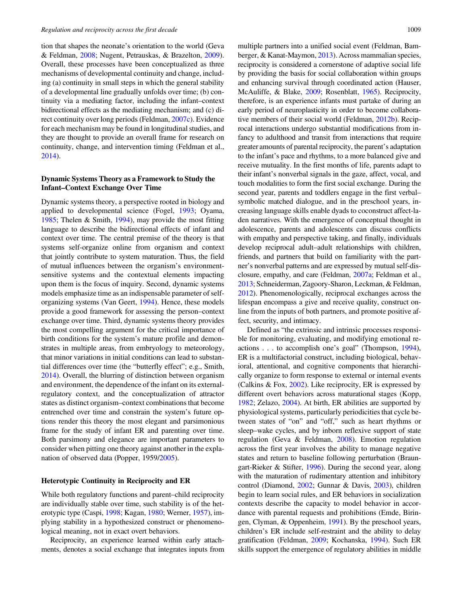tion that shapes the neonate's orientation to the world (Geva & Feldman, [2008](#page-15-0); Nugent, Petrauskas, & Brazelton, [2009](#page-15-0)). Overall, these processes have been conceptualized as three mechanisms of developmental continuity and change, including (a) continuity in small steps in which the general stability of a developmental line gradually unfolds over time; (b) continuity via a mediating factor, including the infant–context bidirectional effects as the mediating mechanism; and (c) direct continuity over long periods (Feldman, [2007c](#page-14-0)). Evidence for each mechanism may be found in longitudinal studies, and they are thought to provide an overall frame for research on continuity, change, and intervention timing (Feldman et al., [2014](#page-15-0)).

# Dynamic Systems Theory as a Framework to Study the Infant–Context Exchange Over Time

Dynamic systems theory, a perspective rooted in biology and applied to developmental science (Fogel, [1993;](#page-15-0) Oyama, [1985](#page-15-0); Thelen & Smith, [1994\)](#page-16-0), may provide the most fitting language to describe the bidirectional effects of infant and context over time. The central premise of the theory is that systems self-organize online from organism and context that jointly contribute to system maturation. Thus, the field of mutual influences between the organism's environmentsensitive systems and the contextual elements impacting upon them is the focus of inquiry. Second, dynamic systems models emphasize time as an indispensable parameter of selforganizing systems (Van Geert, [1994\)](#page-16-0). Hence, these models provide a good framework for assessing the person–context exchange over time. Third, dynamic systems theory provides the most compelling argument for the critical importance of birth conditions for the system's mature profile and demonstrates in multiple areas, from embryology to meteorology, that minor variations in initial conditions can lead to substantial differences over time (the "butterfly effect"; e.g., Smith, [2014](#page-16-0)). Overall, the blurring of distinction between organism and environment, the dependence of the infant on its externalregulatory context, and the conceptualization of attractor states as distinct organism–context combinations that become entrenched over time and constrain the system's future options render this theory the most elegant and parsimonious frame for the study of infant ER and parenting over time. Both parsimony and elegance are important parameters to consider when pitting one theory against another in the explanation of observed data (Popper, 1959[/2005](#page-15-0)).

#### Heterotypic Continuity in Reciprocity and ER

While both regulatory functions and parent–child reciprocity are individually stable over time, such stability is of the heterotypic type (Caspi, [1998](#page-14-0); Kagan, [1980;](#page-15-0) Werner, [1957](#page-16-0)), implying stability in a hypothesized construct or phenomenological meaning, not in exact overt behaviors.

Reciprocity, an experience learned within early attachments, denotes a social exchange that integrates inputs from multiple partners into a unified social event (Feldman, Bamberger, & Kanat-Maymon, [2013\)](#page-14-0). Across mammalian species, reciprocity is considered a cornerstone of adaptive social life by providing the basis for social collaboration within groups and enhancing survival through coordinated action (Hauser, McAuliffe, & Blake, [2009](#page-15-0); Rosenblatt, [1965\)](#page-16-0). Reciprocity, therefore, is an experience infants must partake of during an early period of neuroplasticity in order to become collaborative members of their social world (Feldman, [2012b\)](#page-14-0). Reciprocal interactions undergo substantial modifications from infancy to adulthood and transit from interactions that require greater amounts of parental reciprocity, the parent's adaptation to the infant's pace and rhythms, to a more balanced give and receive mutuality. In the first months of life, parents adapt to their infant's nonverbal signals in the gaze, affect, vocal, and touch modalities to form the first social exchange. During the second year, parents and toddlers engage in the first verbal– symbolic matched dialogue, and in the preschool years, increasing language skills enable dyads to coconstruct affect-laden narratives. With the emergence of conceptual thought in adolescence, parents and adolescents can discuss conflicts with empathy and perspective taking, and finally, individuals develop reciprocal adult–adult relationships with children, friends, and partners that build on familiarity with the partner's nonverbal patterns and are expressed by mutual self-disclosure, empathy, and care (Feldman, [2007a](#page-14-0); Feldman et al., [2013;](#page-14-0) Schneiderman, Zagoory-Sharon, Leckman, & Feldman, [2012\)](#page-16-0). Phenomenologically, reciprocal exchanges across the lifespan encompass a give and receive quality, construct online from the inputs of both partners, and promote positive affect, security, and intimacy.

Defined as "the extrinsic and intrinsic processes responsible for monitoring, evaluating, and modifying emotional reactions . . . to accomplish one's goal" (Thompson, [1994](#page-16-0)), ER is a multifactorial construct, including biological, behavioral, attentional, and cognitive components that hierarchically organize to form response to external or internal events (Calkins & Fox, [2002](#page-14-0)). Like reciprocity, ER is expressed by different overt behaviors across maturational stages (Kopp, [1982;](#page-15-0) Zelazo, [2004\)](#page-16-0). At birth, ER abilities are supported by physiological systems, particularly periodicities that cycle between states of "on" and "off," such as heart rhythms or sleep–wake cycles, and by inborn reflexive support of state regulation (Geva & Feldman, [2008\)](#page-15-0). Emotion regulation across the first year involves the ability to manage negative states and return to baseline following perturbation (Braungart-Rieker & Stifter, [1996](#page-14-0)). During the second year, along with the maturation of rudimentary attention and inhibitory control (Diamond, [2002;](#page-14-0) Gunnar & Davis, [2003](#page-15-0)), children begin to learn social rules, and ER behaviors in socialization contexts describe the capacity to model behavior in accordance with parental requests and prohibitions (Emde, Biringen, Clyman, & Oppenheim, [1991](#page-14-0)). By the preschool years, children's ER include self-restraint and the ability to delay gratification (Feldman, [2009;](#page-14-0) Kochanska, [1994\)](#page-15-0). Such ER skills support the emergence of regulatory abilities in middle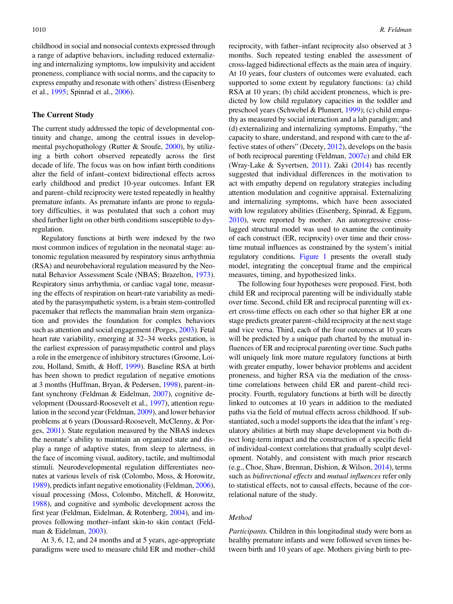childhood in social and nonsocial contexts expressed through a range of adaptive behaviors, including reduced externalizing and internalizing symptoms, low impulsivity and accident proneness, compliance with social norms, and the capacity to express empathy and resonate with others' distress (Eisenberg et al., [1995;](#page-14-0) Spinrad et al., [2006\)](#page-16-0).

#### The Current Study

The current study addressed the topic of developmental continuity and change, among the central issues in developmental psychopathology (Rutter & Sroufe, [2000\)](#page-16-0), by utilizing a birth cohort observed repeatedly across the first decade of life. The focus was on how infant birth conditions alter the field of infant–context bidirectional effects across early childhood and predict 10-year outcomes. Infant ER and parent–child reciprocity were tested repeatedly in healthy premature infants. As premature infants are prone to regulatory difficulties, it was postulated that such a cohort may shed further light on other birth conditions susceptible to dysregulation.

Regulatory functions at birth were indexed by the two most common indices of regulation in the neonatal stage: autonomic regulation measured by respiratory sinus arrhythmia (RSA) and neurobehavioral regulation measured by the Neonatal Behavior Assessment Scale (NBAS; Brazelton, [1973](#page-14-0)). Respiratory sinus arrhythmia, or cardiac vagal tone, measuring the effects of respiration on heart-rate variability as mediated by the parasympathetic system, is a brain stem-controlled pacemaker that reflects the mammalian brain stem organization and provides the foundation for complex behaviors such as attention and social engagement (Porges, [2003\)](#page-16-0). Fetal heart rate variability, emerging at 32–34 weeks gestation, is the earliest expression of parasympathetic control and plays a role in the emergence of inhibitory structures (Groome, Loizou, Holland, Smith, & Hoff, [1999](#page-15-0)). Baseline RSA at birth has been shown to predict regulation of negative emotions at 3 months (Huffman, Bryan, & Pedersen, [1998](#page-15-0)), parent–infant synchrony (Feldman & Eidelman, [2007](#page-15-0)), cognitive development (Doussard-Roosevelt et al., [1997](#page-14-0)), attention regulation in the second year (Feldman, [2009\)](#page-14-0), and lower behavior problems at 6 years (Doussard-Roosevelt, McClenny, & Porges, [2001\)](#page-14-0). State regulation measured by the NBAS indexes the neonate's ability to maintain an organized state and display a range of adaptive states, from sleep to alertness, in the face of incoming visual, auditory, tactile, and multimodal stimuli. Neurodevelopmental regulation differentiates neonates at various levels of risk (Colombo, Moss, & Horowitz, [1989](#page-14-0)), predicts infant negative emotionality (Feldman, [2006](#page-14-0)), visual processing (Moss, Colombo, Mitchell, & Horowitz, [1988](#page-15-0)), and cognitive and symbolic development across the first year (Feldman, Eidelman, & Rotenberg, [2004\)](#page-15-0), and improves following mother–infant skin-to skin contact (Feldman & Eidelman, [2003\)](#page-14-0).

At 3, 6, 12, and 24 months and at 5 years, age-appropriate paradigms were used to measure child ER and mother–child

reciprocity, with father–infant reciprocity also observed at 3 months. Such repeated testing enabled the assessment of cross-lagged bidirectional effects as the main area of inquiry. At 10 years, four clusters of outcomes were evaluated, each supported to some extent by regulatory functions: (a) child RSA at 10 years; (b) child accident proneness, which is predicted by low child regulatory capacities in the toddler and preschool years (Schwebel & Plumert, [1999](#page-16-0)); (c) child empathy as measured by social interaction and a lab paradigm; and (d) externalizing and internalizing symptoms. Empathy, "the capacity to share, understand, and respond with care to the affective states of others" (Decety, [2012\)](#page-14-0), develops on the basis of both reciprocal parenting (Feldman, [2007c](#page-14-0)) and child ER (Wray-Lake & Syvertsen, [2011](#page-16-0)). Zaki ([2014\)](#page-16-0) has recently suggested that individual differences in the motivation to act with empathy depend on regulatory strategies including attention modulation and cognitive appraisal. Externalizing and internalizing symptoms, which have been associated with low regulatory abilities (Eisenberg, Spinrad, & Eggum, [2010](#page-14-0)), were reported by mother. An autoregressive crosslagged structural model was used to examine the continuity of each construct (ER, reciprocity) over time and their crosstime mutual influences as constrained by the system's initial regulatory conditions. [Figure 1](#page-4-0) presents the overall study model, integrating the conceptual frame and the empirical measures, timing, and hypothesized links.

The following four hypotheses were proposed. First, both child ER and reciprocal parenting will be individually stable over time. Second, child ER and reciprocal parenting will exert cross-time effects on each other so that higher ER at one stage predicts greater parent–child reciprocity at the next stage and vice versa. Third, each of the four outcomes at 10 years will be predicted by a unique path charted by the mutual influences of ER and reciprocal parenting over time. Such paths will uniquely link more mature regulatory functions at birth with greater empathy, lower behavior problems and accident proneness, and higher RSA via the mediation of the crosstime correlations between child ER and parent–child reciprocity. Fourth, regulatory functions at birth will be directly linked to outcomes at 10 years in addition to the mediated paths via the field of mutual effects across childhood. If substantiated, such a model supports the idea that the infant's regulatory abilities at birth may shape development via both direct long-term impact and the construction of a specific field of individual-context correlations that gradually sculpt development. Notably, and consistent with much prior research (e.g., Choe, Shaw, Brennan, Dishion, & Wilson, [2014](#page-14-0)), terms such as *bidirectional effects* and *mutual influences* refer only to statistical effects, not to causal effects, because of the correlational nature of the study.

#### Method

Participants. Children in this longitudinal study were born as healthy premature infants and were followed seven times between birth and 10 years of age. Mothers giving birth to pre-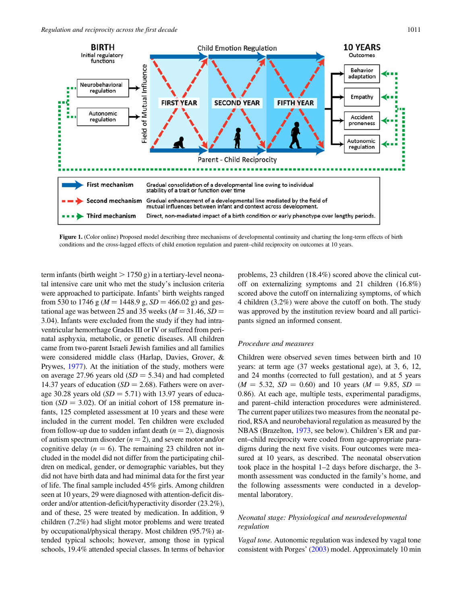<span id="page-4-0"></span>

Figure 1. (Color online) Proposed model describing three mechanisms of developmental continuity and charting the long-term effects of birth conditions and the cross-lagged effects of child emotion regulation and parent–child reciprocity on outcomes at 10 years.

term infants (birth weight  $> 1750$  g) in a tertiary-level neonatal intensive care unit who met the study's inclusion criteria were approached to participate. Infants' birth weights ranged from 530 to 1746 g ( $M = 1448.9$  g,  $SD = 466.02$  g) and gestational age was between 25 and 35 weeks ( $M = 31.46$ , SD = 3.04). Infants were excluded from the study if they had intraventricular hemorrhage Grades III or IV or suffered from perinatal asphyxia, metabolic, or genetic diseases. All children came from two-parent Israeli Jewish families and all families were considered middle class (Harlap, Davies, Grover, & Prywes, [1977\)](#page-15-0). At the initiation of the study, mothers were on average 27.96 years old  $(SD = 5.34)$  and had completed 14.37 years of education ( $SD = 2.68$ ). Fathers were on average 30.28 years old  $(SD = 5.71)$  with 13.97 years of education  $(SD = 3.02)$ . Of an initial cohort of 158 premature infants, 125 completed assessment at 10 years and these were included in the current model. Ten children were excluded from follow-up due to sudden infant death  $(n = 2)$ , diagnosis of autism spectrum disorder  $(n = 2)$ , and severe motor and/or cognitive delay  $(n = 6)$ . The remaining 23 children not included in the model did not differ from the participating children on medical, gender, or demographic variables, but they did not have birth data and had minimal data for the first year of life. The final sample included 45% girls. Among children seen at 10 years, 29 were diagnosed with attention-deficit disorder and/or attention-deficit/hyperactivity disorder (23.2%), and of these, 25 were treated by medication. In addition, 9 children (7.2%) had slight motor problems and were treated by occupational/physical therapy. Most children (95.7%) attended typical schools; however, among those in typical schools, 19.4% attended special classes. In terms of behavior

problems, 23 children (18.4%) scored above the clinical cutoff on externalizing symptoms and 21 children (16.8%) scored above the cutoff on internalizing symptoms, of which 4 children (3.2%) were above the cutoff on both. The study was approved by the institution review board and all participants signed an informed consent.

## Procedure and measures

Children were observed seven times between birth and 10 years: at term age (37 weeks gestational age), at 3, 6, 12, and 24 months (corrected to full gestation), and at 5 years  $(M = 5.32, SD = 0.60)$  and 10 years  $(M = 9.85, SD =$ 0.86). At each age, multiple tests, experimental paradigms, and parent–child interaction procedures were administered. The current paper utilizes two measures from the neonatal period, RSA and neurobehavioral regulation as measured by the NBAS (Brazelton, [1973,](#page-14-0) see below). Children's ER and parent–child reciprocity were coded from age-appropriate paradigms during the next five visits. Four outcomes were measured at 10 years, as described. The neonatal observation took place in the hospital 1–2 days before discharge, the 3 month assessment was conducted in the family's home, and the following assessments were conducted in a developmental laboratory.

# Neonatal stage: Physiological and neurodevelopmental regulation

Vagal tone. Autonomic regulation was indexed by vagal tone consistent with Porges' [\(2003](#page-16-0)) model. Approximately 10 min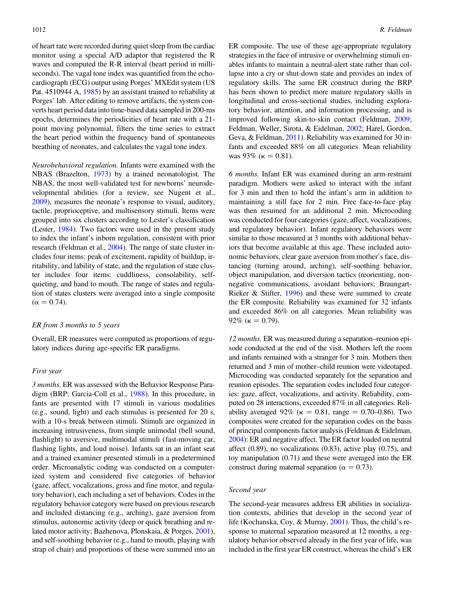of heart rate were recorded during quiet sleep from the cardiac monitor using a special A/D adaptor that registered the R waves and computed the R-R interval (heart period in milliseconds). The vagal tone index was quantified from the echocardiograph (ECG) output using Porges' MXEdit system (US Pat. 4510944 A, [1985](#page-16-0)) by an assistant trained to reliability at Porges' lab. After editing to remove artifacts, the system converts heart period data into time-based data sampled in 200-ms epochs, determines the periodicities of heart rate with a 21 point moving polynomial, filters the time series to extract the heart period within the frequency band of spontaneous breathing of neonates, and calculates the vagal tone index.

Neurobehavioral regulation. Infants were examined with the NBAS (Brazelton, [1973](#page-14-0)) by a trained neonatologist. The NBAS, the most well-validated test for newborns' neurodevelopmental abilities (for a review, see Nugent et al., [2009](#page-15-0)), measures the neonate's response to visual, auditory, tactile, proprioceptive, and multisensory stimuli. Items were grouped into six clusters according to Lester's classification (Lester, [1984\)](#page-15-0). Two factors were used in the present study to index the infant's inborn regulation, consistent with prior research (Feldman et al., [2004](#page-15-0)). The range of state cluster includes four items: peak of excitement, rapidity of buildup, irritability, and lability of state, and the regulation of state cluster includes four items: cuddliness, consolability, selfquieting, and hand to mouth. The range of states and regulation of states clusters were averaged into a single composite  $(\alpha = 0.74)$ .

#### ER from 3 months to 5 years

Overall, ER measures were computed as proportions of regulatory indices during age-specific ER paradigms.

#### First year

3 months. ER was assessed with the Behavior Response Paradigm (BRP; Garcia-Coll et al., [1988](#page-15-0)). In this procedure, in fants are presented with 17 stimuli in various modalities (e.g., sound, light) and each stimulus is presented for 20 s, with a 10-s break between stimuli. Stimuli are organized in increasing intrusiveness, from simple unimodal (bell sound, flashlight) to aversive, multimodal stimuli (fast-moving car, flashing lights, and loud noise). Infants sat in an infant seat and a trained examiner presented stimuli in a predetermined order. Microanalytic coding was conducted on a computerized system and considered five categories of behavior (gaze, affect, vocalizations, gross and fine motor, and regulatory behavior), each including a set of behaviors. Codes in the regulatory behavior category were based on previous research and included distancing (e.g., arching), gaze aversion from stimulus, autonomic activity (deep or quick breathing and related motor activity; Bazhenova, Plonskaia, & Porges, [2001](#page-14-0)), and self-soothing behavior (e.g., hand to mouth, playing with strap of chair) and proportions of these were summed into an

ER composite. The use of these age-appropriate regulatory strategies in the face of intrusive or overwhelming stimuli enables infants to maintain a neutral-alert state rather than collapse into a cry or shut-down state and provides an index of regulatory skills. The same ER construct during the BRP has been shown to predict more mature regulatory skills in longitudinal and cross-sectional studies, including exploratory behavior, attention, and information processing, and is improved following skin-to-skin contact (Feldman, [2009](#page-14-0); Feldman, Weller, Sirota, & Eidelman, [2002](#page-15-0); Harel, Gordon, Geva, & Feldman, [2011](#page-15-0)). Reliability was examined for 30 infants and exceeded 88% on all categories. Mean reliability was 93% ( $\kappa = 0.81$ ).

6 months. Infant ER was examined during an arm-restraint paradigm. Mothers were asked to interact with the infant for 3 min and then to hold the infant's arm in addition to maintaining a still face for 2 min. Free face-to-face play was then resumed for an additional 2 min. Microcoding was conducted for four categories (gaze, affect, vocalizations, and regulatory behavior). Infant regulatory behaviors were similar to those measured at 3 months with additional behaviors that become available at this age. These included autonomic behaviors, clear gaze aversion from mother's face, distancing (turning around, arching), self-soothing behavior, object manipulation, and diversion tactics (reorienting, nonnegative communications, avoidant behaviors; Braungart-Rieker & Stifter, [1996\)](#page-14-0) and these were summed to create the ER composite. Reliability was examined for 32 infants and exceeded 86% on all categories. Mean reliability was 92% ( $\kappa = 0.79$ ).

12 months. ER was measured during a separation–reunion episode conducted at the end of the visit. Mothers left the room and infants remained with a stranger for 3 min. Mothers then returned and 3 min of mother–child reunion were videotaped. Microcoding was conducted separately for the separation and reunion episodes. The separation codes included four categories: gaze, affect, vocalizations, and activity. Reliability, computed on 28 interactions, exceeded 87% in all categories. Reliability averaged 92% ( $\kappa = 0.81$ , range  $= 0.70{\text -}0.86$ ). Two composites were created for the separation codes on the basis of principal components factor analysis (Feldman & Eidelman, [2004\)](#page-14-0): ER and negative affect. The ER factor loaded on neutral affect (0.89), no vocalizations (0.83), active play (0.75), and toy manipulation (0.71) and these were averaged into the ER construct during maternal separation ( $\alpha = 0.73$ ).

## Second year

The second-year measures address ER abilities in socialization contexts, abilities that develop in the second year of life (Kochanska, Coy, & Murray, [2001\)](#page-15-0). Thus, the child's response to maternal separation measured at 12 months, a regulatory behavior observed already in the first year of life, was included in the first year ER construct, whereas the child's ER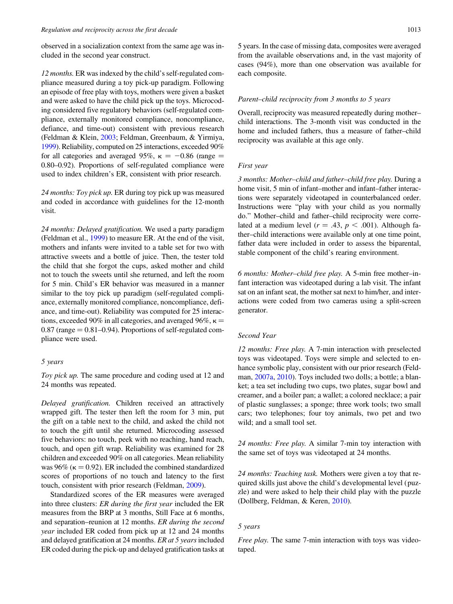observed in a socialization context from the same age was included in the second year construct.

12 months. ER was indexed by the child's self-regulated compliance measured during a toy pick-up paradigm. Following an episode of free play with toys, mothers were given a basket and were asked to have the child pick up the toys. Microcoding considered five regulatory behaviors (self-regulated compliance, externally monitored compliance, noncompliance, defiance, and time-out) consistent with previous research (Feldman & Klein, [2003;](#page-15-0) Feldman, Greenbaum, & Yirmiya, [1999\)](#page-15-0). Reliability, computed on 25 interactions, exceeded 90% for all categories and averaged 95%,  $\kappa = -0.86$  (range  $=$ 0.80–0.92). Proportions of self-regulated compliance were used to index children's ER, consistent with prior research.

24 months: Toy pick up. ER during toy pick up was measured and coded in accordance with guidelines for the 12-month visit.

24 months: Delayed gratification. We used a party paradigm (Feldman et al., [1999\)](#page-15-0) to measure ER. At the end of the visit, mothers and infants were invited to a table set for two with attractive sweets and a bottle of juice. Then, the tester told the child that she forgot the cups, asked mother and child not to touch the sweets until she returned, and left the room for 5 min. Child's ER behavior was measured in a manner similar to the toy pick up paradigm (self-regulated compliance, externally monitored compliance, noncompliance, defiance, and time-out). Reliability was computed for 25 interactions, exceeded 90% in all categories, and averaged 96%,  $\kappa$  =  $0.87$  (range  $= 0.81 - 0.94$ ). Proportions of self-regulated compliance were used.

#### 5 years

Toy pick up. The same procedure and coding used at 12 and 24 months was repeated.

Delayed gratification. Children received an attractively wrapped gift. The tester then left the room for 3 min, put the gift on a table next to the child, and asked the child not to touch the gift until she returned. Microcoding assessed five behaviors: no touch, peek with no reaching, hand reach, touch, and open gift wrap. Reliability was examined for 28 children and exceeded 90% on all categories. Mean reliability was 96% ( $\kappa = 0.92$ ). ER included the combined standardized scores of proportions of no touch and latency to the first touch, consistent with prior research (Feldman, [2009](#page-14-0)).

Standardized scores of the ER measures were averaged into three clusters: ER during the first year included the ER measures from the BRP at 3 months, Still Face at 6 months, and separation–reunion at 12 months. ER during the second year included ER coded from pick up at 12 and 24 months and delayed gratification at 24 months. ER at 5 years included ER coded during the pick-up and delayed gratification tasks at

5 years. In the case of missing data, composites were averaged from the available observations and, in the vast majority of cases (94%), more than one observation was available for each composite.

#### Parent–child reciprocity from 3 months to 5 years

Overall, reciprocity was measured repeatedly during mother– child interactions. The 3-month visit was conducted in the home and included fathers, thus a measure of father–child reciprocity was available at this age only.

## First year

3 months: Mother–child and father–child free play. During a home visit, 5 min of infant–mother and infant–father interactions were separately videotaped in counterbalanced order. Instructions were "play with your child as you normally do." Mother–child and father–child reciprocity were correlated at a medium level ( $r = .43$ ,  $p < .001$ ). Although father–child interactions were available only at one time point, father data were included in order to assess the biparental, stable component of the child's rearing environment.

6 months: Mother–child free play. A 5-min free mother–infant interaction was videotaped during a lab visit. The infant sat on an infant seat, the mother sat next to him/her, and interactions were coded from two cameras using a split-screen generator.

## Second Year

12 months: Free play. A 7-min interaction with preselected toys was videotaped. Toys were simple and selected to enhance symbolic play, consistent with our prior research (Feldman, [2007a](#page-14-0), [2010](#page-14-0)). Toys included two dolls; a bottle; a blanket; a tea set including two cups, two plates, sugar bowl and creamer, and a boiler pan; a wallet; a colored necklace; a pair of plastic sunglasses; a sponge; three work tools; two small cars; two telephones; four toy animals, two pet and two wild; and a small tool set.

24 months: Free play. A similar 7-min toy interaction with the same set of toys was videotaped at 24 months.

24 months: Teaching task. Mothers were given a toy that required skills just above the child's developmental level (puzzle) and were asked to help their child play with the puzzle (Dollberg, Feldman, & Keren, [2010](#page-14-0)).

## 5 years

Free play. The same 7-min interaction with toys was videotaped.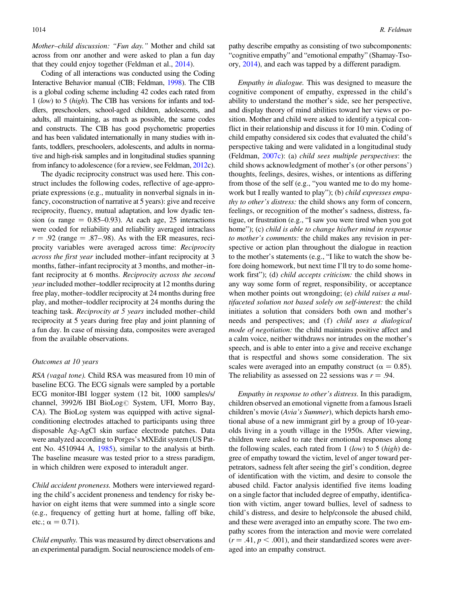Mother–child discussion: "Fun day." Mother and child sat across from onr another and were asked to plan a fun day that they could enjoy together (Feldman et al., [2014](#page-15-0)).

Coding of all interactions was conducted using the Coding Interactive Behavior manual (CIB; Feldman, [1998](#page-14-0)). The CIB is a global coding scheme including 42 codes each rated from 1 (low) to 5 (high). The CIB has versions for infants and toddlers, preschoolers, school-aged children, adolescents, and adults, all maintaining, as much as possible, the same codes and constructs. The CIB has good psychometric properties and has been validated internationally in many studies with infants, toddlers, preschoolers, adolescents, and adults in normative and high-risk samples and in longitudinal studies spanning from infancy to adolescence (for a review, see Feldman, [2012](#page-14-0)c).

The dyadic reciprocity construct was used here. This construct includes the following codes, reflective of age-appropriate expressions (e.g., mutuality in nonverbal signals in infancy, coconstruction of narrative at 5 years): give and receive reciprocity, fluency, mutual adaptation, and low dyadic tension ( $\alpha$  range = 0.85–0.93). At each age, 25 interactions were coded for reliability and reliability averaged intraclass  $r = .92$  (range = .87–.98). As with the ER measures, reciprocity variables were averaged across time: Reciprocity across the first year included mother–infant reciprocity at 3 months, father–infant reciprocity at 3 months, and mother–infant reciprocity at 6 months. Reciprocity across the second year included mother-toddler reciprocity at 12 months during free play, mother–toddler reciprocity at 24 months during free play, and mother–toddler reciprocity at 24 months during the teaching task. Reciprocity at 5 years included mother–child reciprocity at 5 years during free play and joint planning of a fun day. In case of missing data, composites were averaged from the available observations.

#### Outcomes at 10 years

RSA (vagal tone). Child RSA was measured from 10 min of baseline ECG. The ECG signals were sampled by a portable ECG monitor-IBI logger system (12 bit, 1000 samples/s/ channel, 3992/6 IBI BioLog<sup>®</sup> System, UFI, Morro Bay, CA). The BioLog system was equipped with active signalconditioning electrodes attached to participants using three disposable Ag-AgCl skin surface electrode patches. Data were analyzed according to Porges's MXEdit system (US Patent No. 4510944 A, [1985\)](#page-16-0), similar to the analysis at birth. The baseline measure was tested prior to a stress paradigm, in which children were exposed to interadult anger.

Child accident proneness. Mothers were interviewed regarding the child's accident proneness and tendency for risky behavior on eight items that were summed into a single score (e.g., frequency of getting hurt at home, falling off bike, etc.;  $\alpha = 0.71$ ).

Child empathy. This was measured by direct observations and an experimental paradigm. Social neuroscience models of empathy describe empathy as consisting of two subcomponents: "cognitive empathy" and "emotional empathy" (Shamay-Tsoory, [2014\)](#page-16-0), and each was tapped by a different paradigm.

Empathy in dialogue. This was designed to measure the cognitive component of empathy, expressed in the child's ability to understand the mother's side, see her perspective, and display theory of mind abilities toward her views or position. Mother and child were asked to identify a typical conflict in their relationship and discuss it for 10 min. Coding of child empathy considered six codes that evaluated the child's perspective taking and were validated in a longitudinal study (Feldman, [2007c](#page-14-0)): (a) child sees multiple perspectives: the child shows acknowledgment of mother's (or other persons') thoughts, feelings, desires, wishes, or intentions as differing from those of the self (e.g., "you wanted me to do my homework but I really wanted to play"); (b) *child expresses empa*thy to other's distress: the child shows any form of concern, feelings, or recognition of the mother's sadness, distress, fatigue, or frustration (e.g., "I saw you were tired when you got home"); (c) child is able to change his/her mind in response to mother's comments: the child makes any revision in perspective or action plan throughout the dialogue in reaction to the mother's statements (e.g., "I like to watch the show before doing homework, but next time I'll try to do some homework first"); (d) *child accepts criticism*: the child shows in any way some form of regret, responsibility, or acceptance when mother points out wrongdoing; (e) *child raises a mul*tifaceted solution not based solely on self-interest: the child initiates a solution that considers both own and mother's needs and perspectives; and (f) child uses a dialogical mode of negotiation: the child maintains positive affect and a calm voice, neither withdraws nor intrudes on the mother's speech, and is able to enter into a give and receive exchange that is respectful and shows some consideration. The six scales were averaged into an empathy construct ( $\alpha = 0.85$ ). The reliability as assessed on 22 sessions was  $r = .94$ .

Empathy in response to other's distress. In this paradigm, children observed an emotional vignette from a famous Israeli children's movie (Avia's Summer), which depicts harsh emotional abuse of a new immigrant girl by a group of 10-yearolds living in a youth village in the 1950s. After viewing, children were asked to rate their emotional responses along the following scales, each rated from  $1 (low)$  to  $5 (high)$  degree of empathy toward the victim, level of anger toward perpetrators, sadness felt after seeing the girl's condition, degree of identification with the victim, and desire to console the abused child. Factor analysis identified five items loading on a single factor that included degree of empathy, identification with victim, anger toward bullies, level of sadness to child's distress, and desire to help/console the abused child, and these were averaged into an empathy score. The two empathy scores from the interaction and movie were correlated  $(r = .41, p < .001)$ , and their standardized scores were averaged into an empathy construct.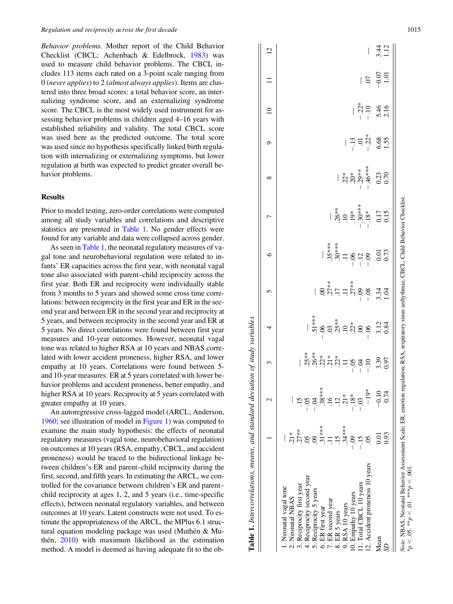Behavior problems. Mother report of the Child Behavior Checklist (CBCL; Achenbach & Edelbrock, [1983](#page-14-0)) was used to measure child behavior problems. The CBCL includes 113 items each rated on a 3-point scale ranging from 0 (never applies) to 2 (almost always applies). Items are clustered into three broad scores: a total behavior score, an internalizing syndrome score, and an externalizing syndrome score. The CBCL is the most widely used instrument for assessing behavior problems in children aged 4–16 years with established reliability and validity. The total CBCL score was used here as the predicted outcome. The total score was used since no hypothesis specifically linked birth regulation with internalizing or externalizing symptoms, but lower regulation at birth was expected to predict greater overall behavior problems.

## Results

Prior to model testing, zero-order correlations were computed among all study variables and correlations and descriptive statistics are presented in Table 1. No gender effects were found for any variable and data were collapsed across gender.

As seen in Table 1, the neonatal regulatory measures of vagal tone and neurobehavioral regulation were related to infants' ER capacities across the first year, with neonatal vagal tone also associated with parent–child reciprocity across the first year. Both ER and reciprocity were individually stable from 3 months to 5 years and showed some cross time correlations: between reciprocity in the first year and ER in the second year and between ER in the second year and reciprocity at 5 years, and between reciprocity in the second year and ER at 5 years. No direct correlations were found between first year measures and 10-year outcomes. However, neonatal vagal tone was related to higher RSA at 10 years and NBAS correlated with lower accident proneness, higher RSA, and lower empathy at 10 years. Correlations were found between 5 and 10-year measures: ER at 5 years correlated with lower behavior problems and accident proneness, better empathy, and higher RSA at 10 years. Reciprocity at 5 years correlated with greater empathy at 10 years.

An autoregressive cross-lagged model (ARCL; Anderson, [1960](#page-14-0); see illustration of model in [Figure 1\)](#page-4-0) was computed to examine the main study hypothesis: the effects of neonatal regulatory measures (vagal tone, neurobehavioral regulation) on outcomes at 10 years (RSA, empathy, CBCL, and accident proneness) would be traced to the bidirectional linkage between children's ER and parent–child reciprocity during the first, second, and fifth years. In estimating the ARCL, we controlled for the covariance between children's ER and parent– child reciprocity at ages 1, 2, and 5 years (i.e., time-specific effects), between neonatal regulatory variables, and between outcomes at 10 years. Latent constructs were not used. To estimate the appropriateness of the ARCL, the MPlus 6.1 structural equation modeling package was used (Muthén  $&$  Muthén,  $2010$ ) with maximum likelihood as the estimation method. A model is deemed as having adequate fit to the ob-

 $3.44$  $\frac{12}{2}$  $\overline{C}$ Mean 0.01 20.10 3.39 3.12 3.34 0.01 0.17 0.23 6.68 5.46 20.07 3.44 SD 0.93 0.74 0.97 0.84 1.04 0.73 0.15 0.70 1.55 2.16 1.01 1.12 1 2 3 4 5 6 7 8 9 10 11 12 12. Accident proneness 10 years .05 219\* 2.10 2.06 2.08 2.09 2.18\* 2.46\*\*\* 2.22\* 2.10 .07 —  $-0.07$  $1.01$  $\equiv$  $\overline{0}$ 11. Total CBCL 10 years 2.15 2.03 2.04 .00 2.09 2.12 2.30\*\*\* 2.29\*\* .01 2.22\* —  $-10$ 5.46  $\Omega$ — 1 x11 \*61. \*61. 90'- \*\*12. \*02. 2.07- \*\*11. 2.07- ... 2.14 ... 2.15 ... 2.14 ... 2.14 ... 2 6.68 S. ā  $\circ$ 9. RSA 10 years .34\*\*\* .21\* .11 .10 .11 .11 .10 .22\* —  $46***$  $.29**$  $\frac{0.23}{0.70}$  $20*$  $\infty$ 8. ER 5 years .25 .25 .22\* .22\* .25 .25 .25 .25 .26\*\* .26\*\* .26\*\* .30\*\* .26\* .26\* Note: NBAS, Neonatal Behavior Assessment Scale; ER, emotion regulation; RSA, respiratory sinus arrhythmia; CBCL, Child Behavior Checklist, Note: NBAS, Neonatal Behavior Assessment Scale; ER, emotion regulation; RSA, respiratory sinus arrhythmia; CBCL, Child Behavior Checklist.  $.30***$ 0.17  $0.15$  $18*$  $19*$  $\overline{C}$ 7. ER second year .11 .16 .21\* .03 .27\*\* .35\*\*\* —  $\frac{0.01}{0.73}$  $\circ$  $\frac{2}{1}$ 6. ER first year .31\*\*\* .38\*\*\* .38\*\*\* .22\* 2.06 .00 .00  $8<sup>o</sup>$  $3.34$ <br>1.04  $80,00$  $\overline{5}$ 5. Reciprocity 5 years .09 2.04 .26\*\* .51\*\*\* — Table 1. Intercorrelations, means, and standard deviation of study variables Table 1. Intercorrelations, means, and standard deviation of study variables  $.25**$  $3.12$ <br>0.84  $= \stackrel{*}{\Omega} \stackrel{<}{\Omega} \stackrel{<}{\Omega} \stackrel{<}{\Omega}$  $\overline{a}$ 4. Reciprocity second year .05 .05 .05 .25\*\* 8  $\overline{c}$ 3.39  $552$  $\tilde{\phantom{a}}$ 3. Reciprocity first year .27\*\* .15 —  $3.38***$ <br> $-1.2$ <br> $-1.2$  $-0.10$ <br>0.74  $-19*$  $.18*$  $\overline{\mathcal{C}}$  $\overline{0}$  $2.$  Neonatal NBAS  $1^*$  $.15$ <br> $.34***$  $0.5$ <br> $0.31***$  $\begin{array}{c} 0.01 \\ 0.93 \end{array}$  $\frac{3}{2}$  $\frac{3}{2}$  $\overline{=}$ 1. Neonatal vagal tone — 12. Accident proneness 10 years Reciprocity second year 11. Total CBCL 10 years Reciprocity first year Neonatal vagal tone Reciprocity 5 years 10. Empathy 10 years Neonatal NBAS 7. ER second year RSA 10 years 6. ER first year 8. ER 5 years 9. RSA 10 years Mean  $\ddot{\Omega}$  $\vec{r}$  $S<sub>2</sub>$ 

 $*_{p} < .05.$   $*_{p} < .01.$   $*_{**p} < .001.$ 

 $k_p < .05.$  \*\* $p < .01.$  \*\*\* $p < .001$ .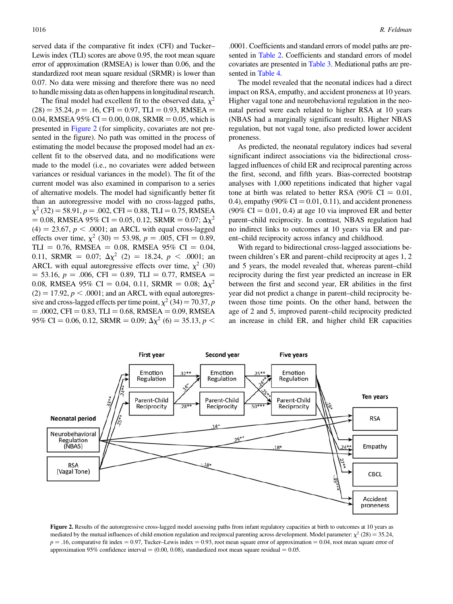served data if the comparative fit index (CFI) and Tucker– Lewis index (TLI) scores are above 0.95, the root mean square error of approximation (RMSEA) is lower than 0.06, and the standardized root mean square residual (SRMR) is lower than 0.07. No data were missing and therefore there was no need to handle missing data as often happens in longitudinal research.

The final model had excellent fit to the observed data,  $\chi^2$  $(28) = 35.24, p = .16, CFI = 0.97, TLI = 0.93, RMSEA =$ 0.04, RMSEA 95% CI = 0.00, 0.08, SRMR = 0.05, which is presented in Figure 2 (for simplicity, covariates are not presented in the figure). No path was omitted in the process of estimating the model because the proposed model had an excellent fit to the observed data, and no modifications were made to the model (i.e., no covariates were added between variances or residual variances in the model). The fit of the current model was also examined in comparison to a series of alternative models. The model had significantly better fit than an autoregressive model with no cross-lagged paths,  $\chi^2$  (32) = 58.91, p = .002, CFI = 0.88, TLI = 0.75, RMSEA  $= 0.08$ , RMSEA 95% CI  $= 0.05, 0.12$ , SRMR  $= 0.07; \Delta \chi^2$  $(4) = 23.67$ ,  $p < .0001$ ; an ARCL with equal cross-lagged effects over time,  $\chi^2$  (30) = 53.98, p = .005, CFI = 0.89, TLI = 0.76, RMSEA = 0.08, RMSEA 95% CI = 0.04, 0.11, SRMR = 0.07;  $\Delta \chi^2$  (2) = 18.24, p < .0001; an ARCL with equal autoregressive effects over time,  $\chi^2$  (30)  $=$  53.16,  $p = .006$ , CFI  $=$  0.89, TLI  $=$  0.77, RMSEA  $=$ 0.08, RMSEA 95% CI = 0.04, 0.11, SRMR = 0.08;  $\Delta \chi^2$  $(2) = 17.92$ ,  $p < .0001$ ; and an ARCL with equal autoregressive and cross-lagged effects per time point,  $\chi^2$  (34) = 70.37, p  $= .0002$ , CFI  $= 0.83$ , TLI  $= 0.68$ , RMSEA  $= 0.09$ , RMSEA 95% CI = 0.06, 0.12, SRMR = 0.09;  $\Delta \chi^2$  (6) = 35.13, *p* <

.0001. Coefficients and standard errors of model paths are presented in [Table 2](#page-10-0). Coefficients and standard errors of model covariates are presented in [Table 3.](#page-11-0) Mediational paths are presented in [Table 4](#page-11-0).

The model revealed that the neonatal indices had a direct impact on RSA, empathy, and accident proneness at 10 years. Higher vagal tone and neurobehavioral regulation in the neonatal period were each related to higher RSA at 10 years (NBAS had a marginally significant result). Higher NBAS regulation, but not vagal tone, also predicted lower accident proneness.

As predicted, the neonatal regulatory indices had several significant indirect associations via the bidirectional crosslagged influences of child ER and reciprocal parenting across the first, second, and fifth years. Bias-corrected bootstrap analyses with 1,000 repetitions indicated that higher vagal tone at birth was related to better RSA (90% CI  $= 0.01$ , 0.4), empathy (90%  $CI = 0.01, 0.11$ ), and accident proneness  $(90\% \text{ CI} = 0.01, 0.4)$  at age 10 via improved ER and better parent–child reciprocity. In contrast, NBAS regulation had no indirect links to outcomes at 10 years via ER and parent–child reciprocity across infancy and childhood.

With regard to bidirectional cross-lagged associations between children's ER and parent–child reciprocity at ages 1, 2 and 5 years, the model revealed that, whereas parent–child reciprocity during the first year predicted an increase in ER between the first and second year, ER abilities in the first year did not predict a change in parent–child reciprocity between those time points. On the other hand, between the age of 2 and 5, improved parent–child reciprocity predicted an increase in child ER, and higher child ER capacities



Figure 2. Results of the autoregressive cross-lagged model assessing paths from infant regulatory capacities at birth to outcomes at 10 years as mediated by the mutual influences of child emotion regulation and reciprocal parenting across development. Model parameter:  $\chi^2$  (28) = 35.24,  $p = .16$ , comparative fit index = 0.97, Tucker–Lewis index = 0.93, root mean square error of approximation = 0.04, root mean square error of approximation 95% confidence interval  $= (0.00, 0.08)$ , standardized root mean square residual  $= 0.05$ .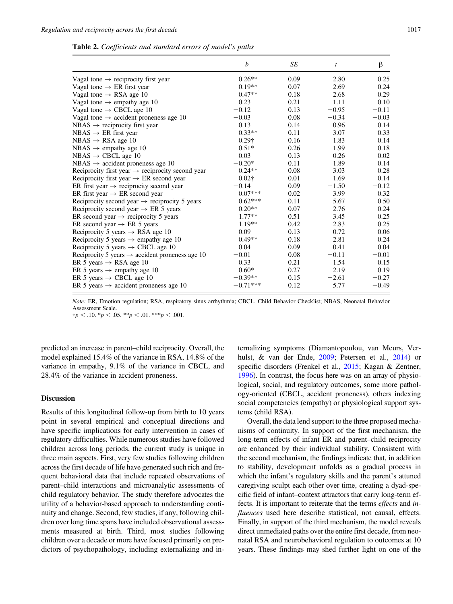<span id="page-10-0"></span>

|  | Table 2. Coefficients and standard errors of model's paths |  |  |  |  |  |  |
|--|------------------------------------------------------------|--|--|--|--|--|--|
|--|------------------------------------------------------------|--|--|--|--|--|--|

|                                                              | b             | SE   | t       | β       |
|--------------------------------------------------------------|---------------|------|---------|---------|
| Vagal tone $\rightarrow$ reciprocity first year              | $0.26**$      | 0.09 | 2.80    | 0.25    |
| Vagal tone $\rightarrow$ ER first year                       | $0.19**$      | 0.07 | 2.69    | 0.24    |
| Vagal tone $\rightarrow$ RSA age 10                          | $0.47**$      | 0.18 | 2.68    | 0.29    |
| Vagal tone $\rightarrow$ empathy age 10                      | $-0.23$       | 0.21 | $-1.11$ | $-0.10$ |
| Vagal tone $\rightarrow$ CBCL age 10                         | $-0.12$       | 0.13 | $-0.95$ | $-0.11$ |
| Vagal tone $\rightarrow$ accident proneness age 10           | $-0.03$       | 0.08 | $-0.34$ | $-0.03$ |
| $NBAS \rightarrow$ reciprocity first year                    | 0.13          | 0.14 | 0.96    | 0.14    |
| $NBAS \rightarrow ER$ first year                             | $0.33**$      | 0.11 | 3.07    | 0.33    |
| $NBAS \rightarrow RSA$ age 10                                | $0.29\dagger$ | 0.16 | 1.83    | 0.14    |
| $NBAS \rightarrow$ empathy age 10                            | $-0.51*$      | 0.26 | $-1.99$ | $-0.18$ |
| $NBAS \rightarrow CBCL$ age 10                               | 0.03          | 0.13 | 0.26    | 0.02    |
| NBAS $\rightarrow$ accident proneness age 10                 | $-0.20*$      | 0.11 | 1.89    | 0.14    |
| Reciprocity first year $\rightarrow$ reciprocity second year | $0.24**$      | 0.08 | 3.03    | 0.28    |
| Reciprocity first year $\rightarrow$ ER second year          | $0.02\dagger$ | 0.01 | 1.69    | 0.14    |
| ER first year $\rightarrow$ reciprocity second year          | $-0.14$       | 0.09 | $-1.50$ | $-0.12$ |
| ER first year $\rightarrow$ ER second year                   | $0.07***$     | 0.02 | 3.99    | 0.32    |
| Reciprocity second year $\rightarrow$ reciprocity 5 years    | $0.62***$     | 0.11 | 5.67    | 0.50    |
| Reciprocity second year $\rightarrow$ ER 5 years             | $0.20**$      | 0.07 | 2.76    | 0.24    |
| ER second year $\rightarrow$ reciprocity 5 years             | $1.77**$      | 0.51 | 3.45    | 0.25    |
| ER second year $\rightarrow$ ER 5 years                      | $1.19**$      | 0.42 | 2.83    | 0.25    |
| Reciprocity 5 years $\rightarrow$ RSA age 10                 | 0.09          | 0.13 | 0.72    | 0.06    |
| Reciprocity 5 years $\rightarrow$ empathy age 10             | $0.49**$      | 0.18 | 2.81    | 0.24    |
| Reciprocity 5 years $\rightarrow$ CBCL age 10                | $-0.04$       | 0.09 | $-0.41$ | $-0.04$ |
| Reciprocity 5 years $\rightarrow$ accident proneness age 10  | $-0.01$       | 0.08 | $-0.11$ | $-0.01$ |
| ER 5 years $\rightarrow$ RSA age 10                          | 0.33          | 0.21 | 1.54    | 0.15    |
| ER 5 years $\rightarrow$ empathy age 10                      | $0.60*$       | 0.27 | 2.19    | 0.19    |
| ER 5 years $\rightarrow$ CBCL age 10                         | $-0.39**$     | 0.15 | $-2.61$ | $-0.27$ |
| ER 5 years $\rightarrow$ accident proneness age 10           | $-0.71***$    | 0.12 | 5.77    | $-0.49$ |

Note: ER, Emotion regulation; RSA, respiratory sinus arrhythmia; CBCL, Child Behavior Checklist; NBAS, Neonatal Behavior Assessment Scale.

 $\dagger p < .10.$  \* $p < .05.$  \*\* $p < .01.$  \*\*\* $p < .001.$ 

predicted an increase in parent–child reciprocity. Overall, the model explained 15.4% of the variance in RSA, 14.8% of the variance in empathy, 9.1% of the variance in CBCL, and 28.4% of the variance in accident proneness.

## Discussion

Results of this longitudinal follow-up from birth to 10 years point in several empirical and conceptual directions and have specific implications for early intervention in cases of regulatory difficulties. While numerous studies have followed children across long periods, the current study is unique in three main aspects. First, very few studies following children across the first decade of life have generated such rich and frequent behavioral data that include repeated observations of parent–child interactions and microanalytic assessments of child regulatory behavior. The study therefore advocates the utility of a behavior-based approach to understanding continuity and change. Second, few studies, if any, following children over long time spans have included observational assessments measured at birth. Third, most studies following children over a decade or more have focused primarily on predictors of psychopathology, including externalizing and in-

ternalizing symptoms (Diamantopoulou, van Meurs, Verhulst, & van der Ende, [2009](#page-14-0); Petersen et al., [2014](#page-15-0)) or specific disorders (Frenkel et al., [2015;](#page-15-0) Kagan & Zentner, [1996\)](#page-15-0). In contrast, the focus here was on an array of physiological, social, and regulatory outcomes, some more pathology-oriented (CBCL, accident proneness), others indexing social competencies (empathy) or physiological support systems (child RSA).

Overall, the data lend support to the three proposed mechanisms of continuity. In support of the first mechanism, the long-term effects of infant ER and parent–child reciprocity are enhanced by their individual stability. Consistent with the second mechanism, the findings indicate that, in addition to stability, development unfolds as a gradual process in which the infant's regulatory skills and the parent's attuned caregiving sculpt each other over time, creating a dyad-specific field of infant–context attractors that carry long-term effects. It is important to reiterate that the terms effects and influences used here describe statistical, not causal, effects. Finally, in support of the third mechanism, the model reveals direct unmediated paths over the entire first decade, from neonatal RSA and neurobehavioral regulation to outcomes at 10 years. These findings may shed further light on one of the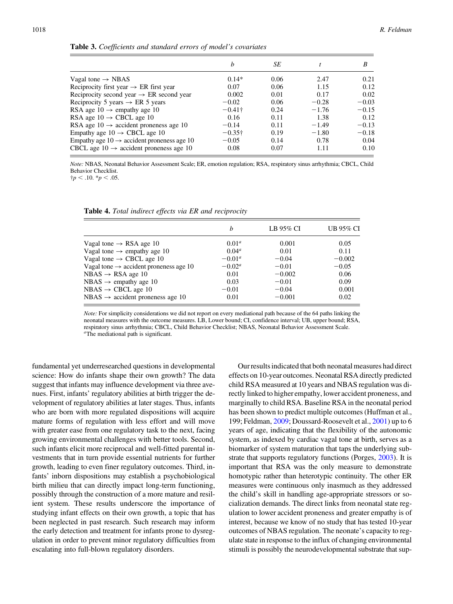|                                                        | b              | SЕ   |         | B       |
|--------------------------------------------------------|----------------|------|---------|---------|
| Vagal tone $\rightarrow$ NBAS                          | $0.14*$        | 0.06 | 2.47    | 0.21    |
| Reciprocity first year $\rightarrow$ ER first year     | 0.07           | 0.06 | 1.15    | 0.12    |
| Reciprocity second year $\rightarrow$ ER second year   | 0.002          | 0.01 | 0.17    | 0.02    |
| Reciprocity 5 years $\rightarrow$ ER 5 years           | $-0.02$        | 0.06 | $-0.28$ | $-0.03$ |
| RSA age $10 \rightarrow$ empathy age 10                | $-0.41\dagger$ | 0.24 | $-1.76$ | $-0.15$ |
| RSA age $10 \rightarrow$ CBCL age 10                   | 0.16           | 0.11 | 1.38    | 0.12    |
| RSA age $10 \rightarrow$ accident proneness age 10     | $-0.14$        | 0.11 | $-1.49$ | $-0.13$ |
| Empathy age $10 \rightarrow$ CBCL age 10               | $-0.35\dagger$ | 0.19 | $-1.80$ | $-0.18$ |
| Empathy age $10 \rightarrow$ accident proneness age 10 | $-0.05$        | 0.14 | 0.78    | 0.04    |
| CBCL age $10 \rightarrow$ accident proneness age 10    | 0.08           | 0.07 | 1.11    | 0.10    |

<span id="page-11-0"></span>Table 3. Coefficients and standard errors of model's covariates

Note: NBAS, Neonatal Behavior Assessment Scale; ER, emotion regulation; RSA, respiratory sinus arrhythmia; CBCL, Child Behavior Checklist.

 $\dagger p < .10.$   $\ddagger p < .05.$ 

Table 4. Total indirect effects via ER and reciprocity

|                                                    | b               | LB 95% CI | UB 95% CI |
|----------------------------------------------------|-----------------|-----------|-----------|
| Vagal tone $\rightarrow$ RSA age 10                | $0.01^a$        | 0.001     | 0.05      |
| Vagal tone $\rightarrow$ empathy age 10            | $0.04^a$        | 0.01      | 0.11      |
| Vagal tone $\rightarrow$ CBCL age 10               | $-0.01^a$       | $-0.04$   | $-0.002$  |
| Vagal tone $\rightarrow$ accident proneness age 10 | $-0.02^{\circ}$ | $-0.01$   | $-0.05$   |
| $NBAS \rightarrow RSA$ age 10                      | 0.01            | $-0.002$  | 0.06      |
| NBAS $\rightarrow$ empathy age 10                  | 0.03            | $-0.01$   | 0.09      |
| $NBAS \rightarrow CBCL$ age 10                     | $-0.01$         | $-0.04$   | 0.001     |
| $NBAS \rightarrow accident$ proneness age 10       | 0.01            | $-0.001$  | 0.02      |

Note: For simplicity considerations we did not report on every mediational path because of the 64 paths linking the neonatal measures with the outcome measures. LB, Lower bound; CI, confidence interval; UB, upper bound; RSA, respiratory sinus arrhythmia; CBCL, Child Behavior Checklist; NBAS, Neonatal Behavior Assessment Scale. <sup>a</sup>The mediational path is significant.

fundamental yet underresearched questions in developmental science: How do infants shape their own growth? The data suggest that infants may influence development via three avenues. First, infants' regulatory abilities at birth trigger the development of regulatory abilities at later stages. Thus, infants who are born with more regulated dispositions will acquire mature forms of regulation with less effort and will move with greater ease from one regulatory task to the next, facing growing environmental challenges with better tools. Second, such infants elicit more reciprocal and well-fitted parental investments that in turn provide essential nutrients for further growth, leading to even finer regulatory outcomes. Third, infants' inborn dispositions may establish a psychobiological birth milieu that can directly impact long-term functioning, possibly through the construction of a more mature and resilient system. These results underscore the importance of studying infant effects on their own growth, a topic that has been neglected in past research. Such research may inform the early detection and treatment for infants prone to dysregulation in order to prevent minor regulatory difficulties from escalating into full-blown regulatory disorders.

Our results indicated that both neonatal measures had direct effects on 10-year outcomes. Neonatal RSA directly predicted child RSA measured at 10 years and NBAS regulation was directly linked to higher empathy, lower accident proneness, and marginally to child RSA. Baseline RSA in the neonatal period has been shown to predict multiple outcomes (Huffman et al., 199; Feldman, [2009;](#page-14-0) Doussard-Roosevelt et al., [2001](#page-14-0)) up to 6 years of age, indicating that the flexibility of the autonomic system, as indexed by cardiac vagal tone at birth, serves as a biomarker of system maturation that taps the underlying substrate that supports regulatory functions (Porges, [2003\)](#page-16-0). It is important that RSA was the only measure to demonstrate homotypic rather than heterotypic continuity. The other ER measures were continuous only inasmuch as they addressed the child's skill in handling age-appropriate stressors or socialization demands. The direct links from neonatal state regulation to lower accident proneness and greater empathy is of interest, because we know of no study that has tested 10-year outcomes of NBAS regulation. The neonate's capacity to regulate state in response to the influx of changing environmental stimuli is possibly the neurodevelopmental substrate that sup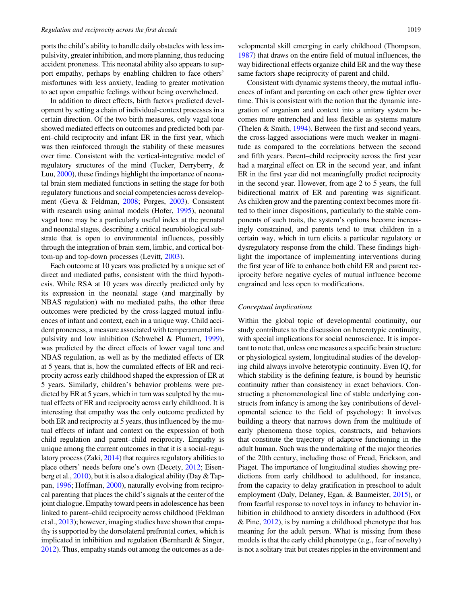ports the child's ability to handle daily obstacles with less impulsivity, greater inhibition, and more planning, thus reducing accident proneness. This neonatal ability also appears to support empathy, perhaps by enabling children to face others' misfortunes with less anxiety, leading to greater motivation to act upon empathic feelings without being overwhelmed.

In addition to direct effects, birth factors predicted development by setting a chain of individual-context processes in a certain direction. Of the two birth measures, only vagal tone showed mediated effects on outcomes and predicted both parent–child reciprocity and infant ER in the first year, which was then reinforced through the stability of these measures over time. Consistent with the vertical-integrative model of regulatory structures of the mind (Tucker, Derryberry, & Luu, [2000](#page-16-0)), these findings highlight the importance of neonatal brain stem mediated functions in setting the stage for both regulatory functions and social competencies across development (Geva & Feldman, [2008](#page-15-0); Porges, [2003](#page-16-0)). Consistent with research using animal models (Hofer, [1995](#page-15-0)), neonatal vagal tone may be a particularly useful index at the prenatal and neonatal stages, describing a critical neurobiological substrate that is open to environmental influences, possibly through the integration of brain stem, limbic, and cortical bottom-up and top-down processes (Levitt, [2003](#page-15-0)).

Each outcome at 10 years was predicted by a unique set of direct and mediated paths, consistent with the third hypothesis. While RSA at 10 years was directly predicted only by its expression in the neonatal stage (and marginally by NBAS regulation) with no mediated paths, the other three outcomes were predicted by the cross-lagged mutual influences of infant and context, each in a unique way. Child accident proneness, a measure associated with temperamental impulsivity and low inhibition (Schwebel & Plumert, [1999](#page-16-0)), was predicted by the direct effects of lower vagal tone and NBAS regulation, as well as by the mediated effects of ER at 5 years, that is, how the cumulated effects of ER and reciprocity across early childhood shaped the expression of ER at 5 years. Similarly, children's behavior problems were predicted by ER at 5 years, which in turn was sculpted by the mutual effects of ER and reciprocity across early childhood. It is interesting that empathy was the only outcome predicted by both ER and reciprocity at 5 years, thus influenced by the mutual effects of infant and context on the expression of both child regulation and parent–child reciprocity. Empathy is unique among the current outcomes in that it is a social-regulatory process (Zaki, [2014](#page-16-0)) that requires regulatory abilities to place others' needs before one's own (Decety, [2012;](#page-14-0) Eisenberg et al., [2010\)](#page-14-0), but it is also a dialogical ability (Day & Tappan, [1996](#page-14-0); Hoffman, [2000](#page-15-0)), naturally evolving from reciprocal parenting that places the child's signals at the center of the joint dialogue. Empathy toward peers in adolescence has been linked to parent–child reciprocity across childhood (Feldman et al., [2013\)](#page-14-0); however, imaging studies have shown that empathy is supported by the dorsolateral prefrontal cortex, which is implicated in inhibition and regulation (Bernhardt & Singer, [2012](#page-14-0)). Thus, empathy stands out among the outcomes as a developmental skill emerging in early childhood (Thompson, [1987\)](#page-16-0) that draws on the entire field of mutual influences, the way bidirectional effects organize child ER and the way these same factors shape reciprocity of parent and child.

Consistent with dynamic systems theory, the mutual influences of infant and parenting on each other grew tighter over time. This is consistent with the notion that the dynamic integration of organism and context into a unitary system becomes more entrenched and less flexible as systems mature (Thelen & Smith, [1994](#page-16-0)). Between the first and second years, the cross-lagged associations were much weaker in magnitude as compared to the correlations between the second and fifth years. Parent–child reciprocity across the first year had a marginal effect on ER in the second year, and infant ER in the first year did not meaningfully predict reciprocity in the second year. However, from age 2 to 5 years, the full bidirectional matrix of ER and parenting was significant. As children grow and the parenting context becomes more fitted to their inner dispositions, particularly to the stable components of such traits, the system's options become increasingly constrained, and parents tend to treat children in a certain way, which in turn elicits a particular regulatory or dysregulatory response from the child. These findings highlight the importance of implementing interventions during the first year of life to enhance both child ER and parent reciprocity before negative cycles of mutual influence become engrained and less open to modifications.

#### Conceptual implications

Within the global topic of developmental continuity, our study contributes to the discussion on heterotypic continuity, with special implications for social neuroscience. It is important to note that, unless one measures a specific brain structure or physiological system, longitudinal studies of the developing child always involve heterotypic continuity. Even IQ, for which stability is the defining feature, is bound by heuristic continuity rather than consistency in exact behaviors. Constructing a phenomenological line of stable underlying constructs from infancy is among the key contributions of developmental science to the field of psychology: It involves building a theory that narrows down from the multitude of early phenomena those topics, constructs, and behaviors that constitute the trajectory of adaptive functioning in the adult human. Such was the undertaking of the major theories of the 20th century, including those of Freud, Erickson, and Piaget. The importance of longitudinal studies showing predictions from early childhood to adulthood, for instance, from the capacity to delay gratification in preschool to adult employment (Daly, Delaney, Egan, & Baumeister, [2015](#page-14-0)), or from fearful response to novel toys in infancy to behavior inhibition in childhood to anxiety disorders in adulthood (Fox & Pine, [2012](#page-15-0)), is by naming a childhood phenotype that has meaning for the adult person. What is missing from these models is that the early child phenotype (e.g., fear of novelty) is not a solitary trait but creates ripples in the environment and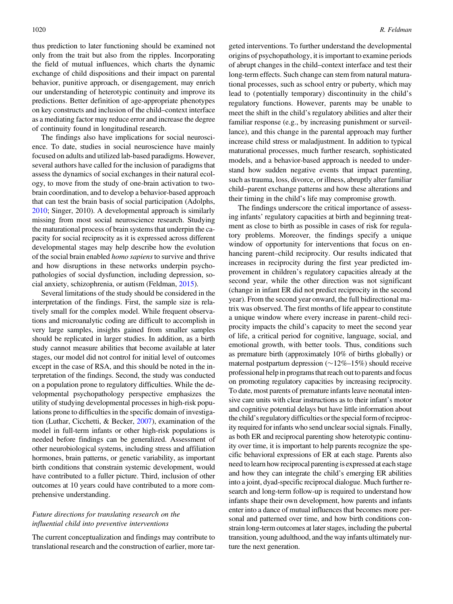thus prediction to later functioning should be examined not only from the trait but also from the ripples. Incorporating the field of mutual influences, which charts the dynamic exchange of child dispositions and their impact on parental behavior, punitive approach, or disengagement, may enrich our understanding of heterotypic continuity and improve its predictions. Better definition of age-appropriate phenotypes on key constructs and inclusion of the child–context interface as a mediating factor may reduce error and increase the degree of continuity found in longitudinal research.

The findings also have implications for social neuroscience. To date, studies in social neuroscience have mainly focused on adults and utilized lab-based paradigms. However, several authors have called for the inclusion of paradigms that assess the dynamics of social exchanges in their natural ecology, to move from the study of one-brain activation to twobrain coordination, and to develop a behavior-based approach that can test the brain basis of social participation (Adolphs, [2010](#page-14-0); Singer, 2010). A developmental approach is similarly missing from most social neuroscience research. Studying the maturational process of brain systems that underpin the capacity for social reciprocity as it is expressed across different developmental stages may help describe how the evolution of the social brain enabled *homo sapiens* to survive and thrive and how disruptions in these networks underpin psychopathologies of social dysfunction, including depression, social anxiety, schizophrenia, or autism (Feldman, [2015\)](#page-14-0).

Several limitations of the study should be considered in the interpretation of the findings. First, the sample size is relatively small for the complex model. While frequent observations and microanalytic coding are difficult to accomplish in very large samples, insights gained from smaller samples should be replicated in larger studies. In addition, as a birth study cannot measure abilities that become available at later stages, our model did not control for initial level of outcomes except in the case of RSA, and this should be noted in the interpretation of the findings. Second, the study was conducted on a population prone to regulatory difficulties. While the developmental psychopathology perspective emphasizes the utility of studying developmental processes in high-risk populations prone to difficulties in the specific domain of investigation (Luthar, Cicchetti, & Becker, [2007](#page-15-0)), examination of the model in full-term infants or other high-risk populations is needed before findings can be generalized. Assessment of other neurobiological systems, including stress and affiliation hormones, brain patterns, or genetic variability, as important birth conditions that constrain systemic development, would have contributed to a fuller picture. Third, inclusion of other outcomes at 10 years could have contributed to a more comprehensive understanding.

# Future directions for translating research on the influential child into preventive interventions

The current conceptualization and findings may contribute to translational research and the construction of earlier, more targeted interventions. To further understand the developmental origins of psychopathology, it is important to examine periods of abrupt changes in the child–context interface and test their long-term effects. Such change can stem from natural maturational processes, such as school entry or puberty, which may lead to (potentially temporary) discontinuity in the child's regulatory functions. However, parents may be unable to meet the shift in the child's regulatory abilities and alter their familiar response (e.g., by increasing punishment or surveillance), and this change in the parental approach may further increase child stress or maladjustment. In addition to typical maturational processes, much further research, sophisticated models, and a behavior-based approach is needed to understand how sudden negative events that impact parenting, such as trauma, loss, divorce, or illness, abruptly alter familiar child–parent exchange patterns and how these alterations and their timing in the child's life may compromise growth.

The findings underscore the critical importance of assessing infants' regulatory capacities at birth and beginning treatment as close to birth as possible in cases of risk for regulatory problems. Moreover, the findings specify a unique window of opportunity for interventions that focus on enhancing parent–child reciprocity. Our results indicated that increases in reciprocity during the first year predicted improvement in children's regulatory capacities already at the second year, while the other direction was not significant (change in infant ER did not predict reciprocity in the second year). From the second year onward, the full bidirectional matrix was observed. The first months of life appear to constitute a unique window where every increase in parent–child reciprocity impacts the child's capacity to meet the second year of life, a critical period for cognitive, language, social, and emotional growth, with better tools. Thus, conditions such as premature birth (approximately 10% of births globally) or maternal postpartum depression  $(\sim 12\% - 15\%)$  should receive professional help in programsthat reach out to parents and focus on promoting regulatory capacities by increasing reciprocity. To date, most parents of premature infants leave neonatal intensive care units with clear instructions as to their infant's motor and cognitive potential delays but have little information about the child's regulatory difficulties or the special form of reciprocity required for infants who send unclear social signals. Finally, as both ER and reciprocal parenting show heterotypic continuity over time, it is important to help parents recognize the specific behavioral expressions of ER at each stage. Parents also need to learn how reciprocal parenting is expressed at each stage and how they can integrate the child's emerging ER abilities into a joint, dyad-specific reciprocal dialogue. Much further research and long-term follow-up is required to understand how infants shape their own development, how parents and infants enter into a dance of mutual influences that becomes more personal and patterned over time, and how birth conditions constrain long-term outcomes at later stages, including the pubertal transition, young adulthood, and the way infants ultimately nurture the next generation.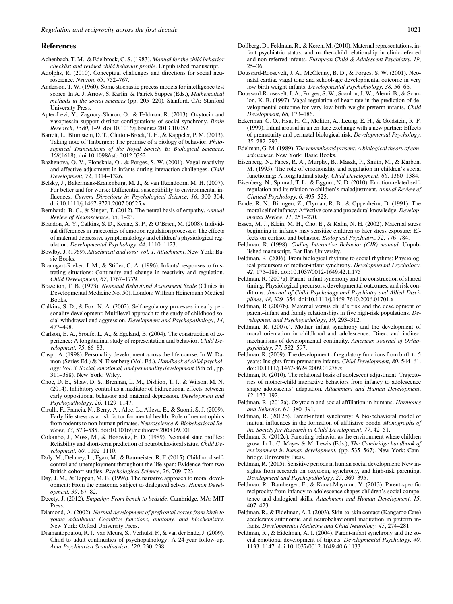#### <span id="page-14-0"></span>References

- Achenbach, T. M., & Edelbrock, C. S. (1983). Manual for the child behavior checklist and revised child behavior profile. Unpublished manuscript.
- Adolphs, R. (2010). Conceptual challenges and directions for social neuroscience. Neuron, 65, 752–767.
- Anderson, T. W. (1960). Some stochastic process models for intelligence test scores. In A. J. Arrow, S. Karlin, & Patrick Suppes (Eds.), Mathematical methods in the social sciences (pp. 205–220). Stanford, CA: Stanford University Press.
- Apter-Levi, Y., Zagoory-Sharon, O., & Feldman, R. (2013). Oxytocin and vasopressin support distinct configurations of social synchrony. Brain Research, 1580, 1–9. doi:10.1016/j.brainres.2013.10.052
- Barrett, L., Blumstein, D. T., Clutton-Brock, T. H., & Kappeler, P. M. (2013). Taking note of Tinbergen: The promise of a biology of behavior. Philosophical Transactions of the Royal Society B: Biological Sciences, 368(1618). doi:10.1098/rstb.2012.0352
- Bazhenova, O. V., Plonskaia, O., & Porges, S. W. (2001). Vagal reactivity and affective adjustment in infants during interaction challenges. Child Development, 72, 1314–1326.
- Belsky, J., Bakermans-Kranenburg, M. J., & van IJzendoorn, M. H. (2007). For better and for worse: Differential susceptibility to environmental influences. Current Directions in Psychological Science, 16, 300–304. doi:10.1111/j.1467-8721.2007.00525.x
- Bernhardt, B. C., & Singer, T. (2012). The neural basis of empathy. Annual Review of Neuroscience, 35, 1–23.
- Blandon, A. Y., Calkins, S. D., Keane, S. P., & O'Brien, M. (2008). Individual differences in trajectories of emotion regulation processes: The effects of maternal depressive symptomatology and children's physiological regulation. Developmental Psychology, 44, 1110–1123.
- Bowlby, J. (1969). Attachment and loss: Vol. 1. Attachment. New York: Basic Books.
- Braungart-Rieker, J. M., & Stifter, C. A. (1996). Infants' responses to frustrating situations: Continuity and change in reactivity and regulation. Child Development, 67, 1767–1779.
- Brazelton, T. B. (1973). Neonatal Behavioral Assessment Scale (Clinics in Developmental Medicine No. 50). London: William Heinemann Medical Books.
- Calkins, S. D., & Fox, N. A. (2002). Self-regulatory processes in early personality development: Multilevel approach to the study of childhood social withdrawal and aggression. Development and Psychopathology, 14, 477–498.
- Carlson, E. A., Sroufe, L. A., & Egeland, B. (2004). The construction of experience; A longitudinal study of representation and behavior. Child Development, 75, 66–83.
- Caspi, A. (1998). Personality development across the life course. In W. Damon (Series Ed.) & N. Eisenberg (Vol. Ed.), Handbook of child psychology: Vol. 3. Social, emotional, and personality development (5th ed., pp. 311–388). New York: Wiley.
- Choe, D. E., Shaw, D. S., Brennan, L. M., Dishion, T. J., & Wilson, M. N. (2014). Inhibitory control as a mediator of bidirectional effects between early oppositional behavior and maternal depression. Development and Psychopathology, 26, 1129–1147.
- Cirulli, F., Francia, N., Berry, A., Aloe, L., Alleva, E., & Suomi, S. J. (2009). Early life stress as a risk factor for mental health: Role of neurotrophins from rodents to non-human primates. Neuroscience & Biobehavioral Reviews, 33, 573–585. doi:10.1016/j.neubiorev.2008.09.001
- Colombo, J., Moss, M., & Horowitz, F. D. (1989). Neonatal state profiles: Reliability and short-term prediction of neurobehavioral status. Child Development, 60, 1102–1110.
- Daly, M., Delaney, L., Egan, M., & Baumeister, R. F. (2015). Childhood selfcontrol and unemployment throughout the life span: Evidence from two British cohort studies. Psychological Science, 26, 709–723.
- Day, J. M., & Tappan, M. B. (1996). The narrative approach to moral development: From the epistemic subject to dialogical selves. Human Development, 39, 67–82.
- Decety, J. (2012). Empathy: From bench to bedside. Cambridge, MA: MIT Press.
- Diamond, A. (2002). Normal development of prefrontal cortex from birth to young adulthood: Cognitive functions, anatomy, and biochemistry. New York: Oxford University Press.
- Diamantopoulou, R. J., van Meurs, S., Verhulst, F., & van der Ende, J. (2009). Child to adult continuities of psychopathology: A 24-year follow-up. Acta Psychiatrica Scandinavica, 120, 230–238.
- Dollberg, D., Feldman, R., & Keren, M. (2010). Maternal representations, infant psychiatric status, and mother-child relationship in clinic-referred and non-referred infants. European Child & Adolescent Psychiatry, 19, 25–36.
- Doussard-Roosevelt, J. A., McClenny, B. D., & Porges, S. W. (2001). Neonatal cardiac vagal tone and school-age developmental outcome in very low birth weight infants. Developmental Psychobiology, 38, 56–66.
- Doussard-Roosevelt, J. A., Porges, S. W., Scanlon, J. W., Alemi, B., & Scanlon, K. B. (1997). Vagal regulation of heart rate in the prediction of developmental outcome for very low birth weight preterm infants. Child Development, 68, 173–186.
- Eckerman, C. O., Hsu, H. C., Molitor, A., Leung, E. H., & Goldstein, R. F. (1999). Infant arousal in an en-face exchange with a new partner: Effects of prematurity and perinatal biological risk. Developmental Psychology, 35, 282–293.
- Edelman, G. M. (1989). The remembered present: A biological theory of consciousness. New York: Basic Books.
- Eisenberg, N., Fabes, R. A., Murphy, B., Maszk, P., Smith, M., & Karbon, M. (1995). The role of emotionality and regulation in children's social functioning: A longitudinal study. Child Development, 66, 1360–1384.
- Eisenberg, N., Spinrad, T. L., & Eggum, N. D. (2010). Emotion-related selfregulation and its relation to children's maladjustment. Annual Review of Clinical Psychology, 6, 495–525.
- Emde, R. N., Biringen, Z., Clyman, R. B., & Oppenheim, D. (1991). The moral self of infancy: Affective core and procedural knowledge. Developmental Review, 11, 251–270.
- Essex, M. J., Klein, M. H., Cho, E., & Kalin, N. H. (2002). Maternal stress beginning in infancy may sensitize children to later stress exposure: Effects on cortisol and behavior. Biological Psychiatry, 52, 776–784.
- Feldman, R. (1998). Coding Interactive Behavior (CIB) manual. Unpublished manuscript. Bar-Ilan University.
- Feldman, R. (2006). From biological rhythms to social rhythms: Physiological precursors of mother-infant synchrony. Developmental Psychology, 42, 175–188. doi:10.1037/0012-1649.42.1.175
- Feldman, R. (2007a). Parent–infant synchrony and the construction of shared timing: Physiological precursors, developmental outcomes, and risk conditions. Journal of Child Psychology and Psychiatry and Allied Disciplines, 48, 329–354. doi:10.1111/j.1469-7610.2006.01701.x
- Feldman, R (2007b). Maternal versus child's risk and the development of parent–infant and family relationships in five high-risk populations. Development and Psychopathology, 19, 293–312.
- Feldman, R. (2007c). Mother–infant synchrony and the development of moral orientation in childhood and adolescence: Direct and indirect mechanisms of developmental continuity. American Journal of Orthopsychiatry, 77, 582–597.
- Feldman, R. (2009). The development of regulatory functions from birth to 5 years: Insights from premature infants. Child Development, 80, 544–61. doi:10.1111/j.1467-8624.2009.01278.x
- Feldman, R. (2010). The relational basis of adolescent adjustment: Trajectories of mother-child interactive behaviors from infancy to adolescence shape adolescents' adaptation. Attachment and Human Development, 12, 173–192.
- Feldman, R. (2012a). Oxytocin and social affiliation in humans. Hormones and Behavior, 61, 380–391.
- Feldman, R. (2012b). Parent-infant synchrony: A bio-behavioral model of mutual influences in the formation of affiliative bonds. Monographs of the Society for Research in Child Development, 77, 42–51.
- Feldman, R. (2012c). Parenting behavior as the environment where children grow. In L. C. Mayes & M. Lewis (Eds.), The Cambridge handbook of environment in human development. (pp. 535–567). New York: Cambridge University Press.
- Feldman, R. (2015). Sensitive periods in human social development: New insights from research on oxytocin, synchrony, and high-risk parenting. Development and Psychopathology, 27, 369–395.
- Feldman, R., Bamberger, E., & Kanat-Maymon, Y. (2013). Parent-specific reciprocity from infancy to adolescence shapes children's social competence and dialogical skills. Attachment and Human Development, 15, 407–423.
- Feldman, R., & Eidelman, A. I. (2003). Skin-to-skin contact (Kangaroo Care) accelerates autonomic and neurobehavioural maturation in preterm infants. Developmental Medicine and Child Neurology, 45, 274–281.
- Feldman, R., & Eidelman, A. I. (2004). Parent-infant synchrony and the social-emotional development of triplets. Developmental Psychology, 40, 1133–1147. doi:10.1037/0012-1649.40.6.1133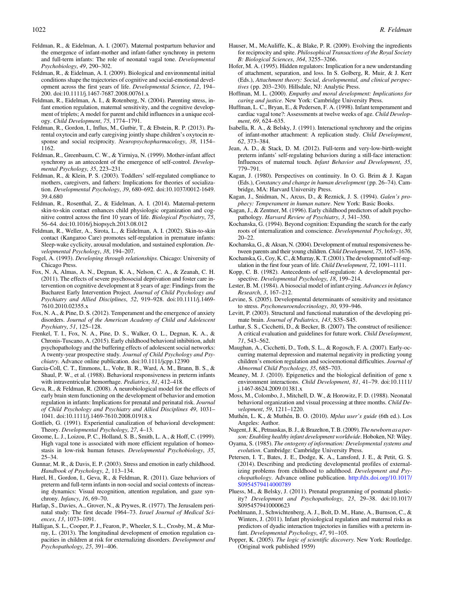- <span id="page-15-0"></span>Feldman, R., & Eidelman, A. I. (2007). Maternal postpartum behavior and the emergence of infant-mother and infant-father synchrony in preterm and full-term infants: The role of neonatal vagal tone. Developmental Psychobiology, 49, 290–302.
- Feldman, R., & Eidelman, A. I. (2009). Biological and environmental initial conditions shape the trajectories of cognitive and social-emotional development across the first years of life. Developmental Science, 12, 194– 200. doi:10.1111/j.1467-7687.2008.00761.x
- Feldman, R., Eidelman, A. I., & Rotenberg, N. (2004). Parenting stress, infant emotion regulation, maternal sensitivity, and the cognitive development of triplets; A model for parent and child influences in a unique ecology. Child Development, 75, 1774–1791.
- Feldman, R., Gordon, I., Influs, M., Gutbir, T., & Ebstein, R. P. (2013). Parental oxytocin and early caregiving jointly shape children's oxytocin response and social reciprocity. Neuropsychopharmacology, 38, 1154– 1162.
- Feldman, R., Greenbaum, C. W., & Yirmiya, N. (1999). Mother-infant affect synchrony as an antecedent of the emergence of self-control. Developmental Psychology, 35, 223–231.
- Feldman, R., & Klein, P. S. (2003). Toddlers' self-regulated compliance to mothers, caregivers, and fathers: Implications for theories of socialization. Developmental Psychology, 39, 680–692. doi:10.1037/0012-1649. 39.4.680
- Feldman, R., Rosenthal, Z., & Eidelman, A. I. (2014). Maternal-preterm skin-to-skin contact enhances child physiologic organization and cognitive control across the first 10 years of life. Biological Psychiatry, 75, 56–64. doi:10.1016/j.biopsych.2013.08.012
- Feldman, R., Weller, A., Sirota, L., & Eidelman, A. I. (2002). Skin-to-skin contact (Kangaroo Care) promotes self-regulation in premature infants: Sleep-wake cyclicity, arousal modulation, and sustained exploration. Developmental Psychology, 38, 194–207.
- Fogel, A. (1993). Developing through relationships. Chicago: University of Chicago Press.
- Fox, N. A, Almas, A. N., Degnan, K. A., Nelson, C. A., & Zeanah, C. H. (2011). The effects of severe psychosocial deprivation and foster care intervention on cognitive development at 8 years of age: Findings from the Bucharest Early Intervention Project. Journal of Child Psychology and Psychiatry and Allied Disciplines, 52, 919–928. doi:10.1111/j.1469- 7610.2010.02355.x
- Fox, N. A., & Pine, D. S. (2012). Temperament and the emergence of anxiety disorders. Journal of the American Academy of Child and Adolescent Psychiatry, 51, 125–128.
- Frenkel, T. I., Fox, N. A., Pine, D. S., Walker, O. L., Degnan, K. A., & Chronis-Tuscano, A. (2015). Early childhood behavioral inhibition, adult psychopathology and the buffering effects of adolescent social networks: A twenty-year prospective study. Journal of Child Psychology and Psychiatry. Advance online publication. doi:10.1111/jcpp.12390
- Garcia-Coll, C. T., Emmons, L., Vohr, B. R., Ward, A. M., Brann, B. S., & Shaul, P. W., et al. (1988). Behavioral responsiveness in preterm infants with intraventricular hemorrhage. Pediatrics, 81, 412–418.
- Geva, R., & Feldman, R. (2008). A neurobiological model for the effects of early brain stem functioning on the development of behavior and emotion regulation in infants: Implications for prenatal and perinatal risk. Journal of Child Psychology and Psychiatry and Allied Disciplines 49, 1031– 1041. doi:10.1111/j.1469-7610.2008.01918.x
- Gottlieb, G. (1991). Experiential canalization of behavioral development: Theory. Developmental Psychology, 27, 4–13.
- Groome, L. J., Loizou, P. C., Holland, S. B., Smith, L. A., & Hoff, C. (1999). High vagal tone is associated with more efficient regulation of homeostasis in low-risk human fetuses. Developmental Psychobiology, 35, 25–34.
- Gunnar, M. R., & Davis, E. P. (2003). Stress and emotion in early childhood. Handbook of Psychology, 2, 113–134.
- Harel, H., Gordon, I., Geva, R., & Feldman, R. (2011). Gaze behaviors of preterm and full-term infants in non-social and social contexts of increasing dynamics: Visual recognition, attention regulation, and gaze synchrony. Infancy, 16, 69–70.
- Harlap, S., Davies, A., Grover, N., & Prywes, R. (1977). The Jerusalem perinatal study: The first decade 1964–73. Israel Journal of Medical Sciences, 13, 1073–1091.
- Halligan, S. L., Cooper, P. J., Fearon, P., Wheeler, S. L., Crosby, M., & Murray, L. (2013). The longitudinal development of emotion regulation capacities in children at risk for externalizing disorders. Development and Psychopathology, 25, 391–406.
- Hauser, M., McAuliffe, K., & Blake, P. R. (2009). Evolving the ingredients for reciprocity and spite. Philosophical Transactions of the Royal Society B: Biological Sciences, 364, 3255–3266.
- Hofer, M. A. (1995). Hidden regulators: Implication for a new understanding of attachment, separation, and loss. In S. Golberg, R. Muir, & J. Kerr (Eds.), Attachment theory: Social, developmental, and clinical perspectives (pp. 203–230). Hillsdale, NJ: Analytic Press.
- Hoffman, M. L. (2000). Empathy and moral development: Implications for caring and justice. New York: Cambridge University Press.
- Huffman, L. C., Bryan, E., & Pedersen, F. A. (1998). Infant temperament and cardiac vagal tone?: Assessments at twelve weeks of age. Child Development, 69, 624–635.
- Isabella, R. A., & Belsky, J. (1991). Interactional synchrony and the origins of infant-mother attachment: A replication study. Child Development, 62, 373–384.
- Jean, A. D., & Stack, D. M. (2012). Full-term and very-low-birth-weight preterm infants' self-regulating behaviors during a still-face interaction: Influences of maternal touch. Infant Behavior and Development, 35, 779–791.
- Kagan, J. (1980). Perspectives on continuity. In O. G. Brim & J. Kagan (Eds.), Constancy and change in human development (pp. 26–74). Cambridge, MA: Harvard University Press.
- Kagan, J., Snidman, N., Arcus, D., & Reznick, J. S. (1994). Galen's prophecy: Temperament in human nature. New York: Basic Books.
- Kagan, J., & Zentner, M. (1996). Early childhood predictors of adult psychopathology. Harvard Review of Psychiatry, 3, 341–350.
- Kochanska, G. (1994). Beyond cognition: Expanding the search for the early roots of internalization and conscience. Developmental Psychology, 30, 20–22.
- Kochanska, G., & Aksan, N. (2004). Development of mutual responsiveness between parents and their young children. Child Development, 75, 1657–1676.
- Kochanska,G.,Coy,K.C.,&Murray,K.T. (2001).The development of self-regulation in the first four years of life. Child Development, 72, 1091–1111.
- Kopp, C. B. (1982). Antecedents of self-regulation: A developmental perspective. Developmental Psychology, 18, 199–214.
- Lester, B. M. (1984). A biosocial model of infant crying. Advances in Infancy Research, 3, 167–212.
- Levine, S. (2005). Developmental determinants of sensitivity and resistance to stress. Psychoneuroendocrinology, 30, 939–946.
- Levitt, P. (2003). Structural and functional maturation of the developing primate brain. Journal of Pediatrics, 143, S35–S45.
- Luthar, S. S., Cicchetti, D., & Becker, B. (2007). The construct of resilience: A critical evaluation and guidelines for future work. Child Development, 71, 543–562.
- Maughan, A., Cicchetti, D., Toth, S. L., & Rogosch, F. A. (2007). Early-occurring maternal depression and maternal negativity in predicting young children's emotion regulation and socioemotional difficulties. Journal of Abnormal Child Psychology, 35, 685–703.
- Meaney, M. J. (2010). Epigenetics and the biological definition of gene x environment interactions. Child Development, 81, 41–79. doi:10.1111/ j.1467-8624.2009.01381.x
- Moss, M., Colombo, J., Mitchell, D. W., & Horowitz, F. D. (1988). Neonatal behavioral organization and visual processing at three months. Child Development, 59, 1211–1220.
- Muthén, L. K., & Muthén, B. O. (2010). Mplus user's guide (6th ed.). Los Angeles: Author.
- Nugent, J. K., Petrauskas, B. J., & Brazelton, T.B. (2009). The newborn as a person: Enabling healthy infant development worldwide. Hoboken, NJ: Wiley.
- Oyama, S. (1985). The ontogeny of information: Developmental systems and evolution. Cambridge: Cambridge University Press.
- Petersen, I. T., Bates, J. E., Dodge, K. A., Lansford, J. E., & Petit, G. S. (2014). Describing and predicting developmental profiles of externalizing problems from childhood to adulthood. Development and Psychopathology. Advance online publication. [http://dx.doi.org/10.1017/](http://dx.doi.org/10.1017/S0954579414000789) [S0954579414000789](http://dx.doi.org/10.1017/S0954579414000789)
- Pluess, M., & Belsky, J. (2011). Prenatal programming of postnatal plasticity? Development and Psychopathology, 23, 29–38. doi:10.1017/ S0954579410000623
- Poehlmann, J., Schwichtenberg, A. J., Bolt, D. M., Hane, A., Burnson, C., & Winters, J. (2011). Infant physiological regulation and maternal risks as predictors of dyadic interaction trajectories in families with a preterm infant. Developmental Psychology, 47, 91–105.
- Popper, K. (2005). The logic of scientific discovery. New York: Routledge. (Original work published 1959)